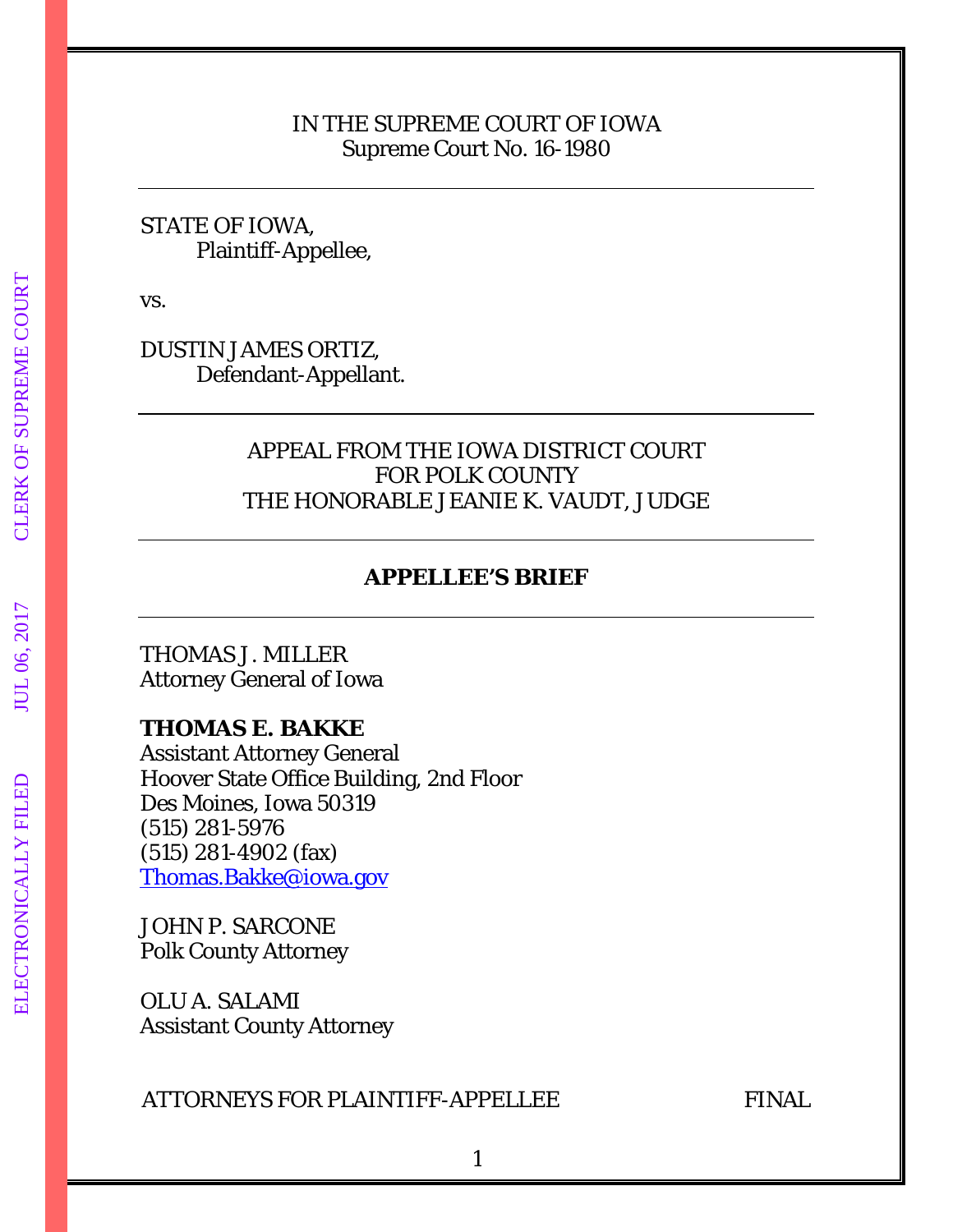## IN THE SUPREME COURT OF IOWA Supreme Court No. 16-1980

## STATE OF IOWA, Plaintiff-Appellee,

vs.

DUSTIN JAMES ORTIZ, Defendant-Appellant.

## APPEAL FROM THE IOWA DISTRICT COURT FOR POLK COUNTY THE HONORABLE JEANIE K. VAUDT, JUDGE

# **APPELLEE'S BRIEF**

THOMAS J. MILLER Attorney General of Iowa

## **THOMAS E. BAKKE**

Assistant Attorney General Hoover State Office Building, 2nd Floor Des Moines, Iowa 50319 (515) 281-5976 (515) 281-4902 (fax) [Thomas.Bakke@iowa.gov](mailto:Thomas.Bakke@iowa.gov)

JOHN P. SARCONE Polk County Attorney

OLU A. SALAMI Assistant County Attorney

## ATTORNEYS FOR PLAINTIFF-APPELLEE FINAL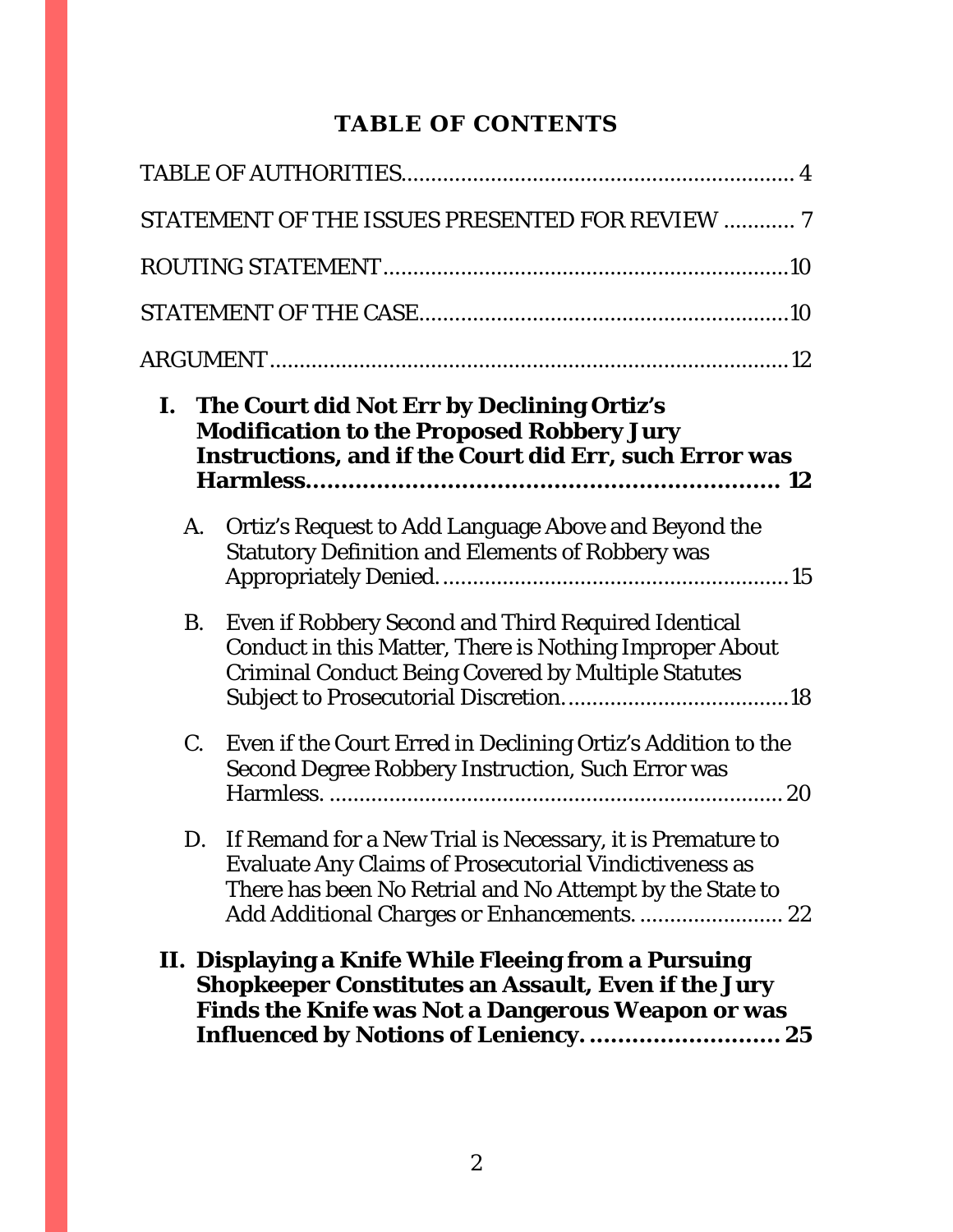# **TABLE OF CONTENTS**

|                                                                                                                                                                                                                                | STATEMENT OF THE ISSUES PRESENTED FOR REVIEW  7                                                                                                                                                                                        |  |
|--------------------------------------------------------------------------------------------------------------------------------------------------------------------------------------------------------------------------------|----------------------------------------------------------------------------------------------------------------------------------------------------------------------------------------------------------------------------------------|--|
|                                                                                                                                                                                                                                |                                                                                                                                                                                                                                        |  |
|                                                                                                                                                                                                                                |                                                                                                                                                                                                                                        |  |
|                                                                                                                                                                                                                                |                                                                                                                                                                                                                                        |  |
|                                                                                                                                                                                                                                | I. The Court did Not Err by Declining Ortiz's<br><b>Modification to the Proposed Robbery Jury</b><br>Instructions, and if the Court did Err, such Error was                                                                            |  |
| A.                                                                                                                                                                                                                             | Ortiz's Request to Add Language Above and Beyond the<br><b>Statutory Definition and Elements of Robbery was</b>                                                                                                                        |  |
| <b>B.</b>                                                                                                                                                                                                                      | Even if Robbery Second and Third Required Identical<br><b>Conduct in this Matter, There is Nothing Improper About</b><br><b>Criminal Conduct Being Covered by Multiple Statutes</b>                                                    |  |
| C.                                                                                                                                                                                                                             | Even if the Court Erred in Declining Ortiz's Addition to the<br><b>Second Degree Robbery Instruction, Such Error was</b>                                                                                                               |  |
| D.                                                                                                                                                                                                                             | If Remand for a New Trial is Necessary, it is Premature to<br><b>Evaluate Any Claims of Prosecutorial Vindictiveness as</b><br>There has been No Retrial and No Attempt by the State to<br>Add Additional Charges or Enhancements.  22 |  |
| II. Displaying a Knife While Fleeing from a Pursuing<br><b>Shopkeeper Constitutes an Assault, Even if the Jury</b><br><b>Finds the Knife was Not a Dangerous Weapon or was</b><br><b>Influenced by Notions of Leniency.</b> 25 |                                                                                                                                                                                                                                        |  |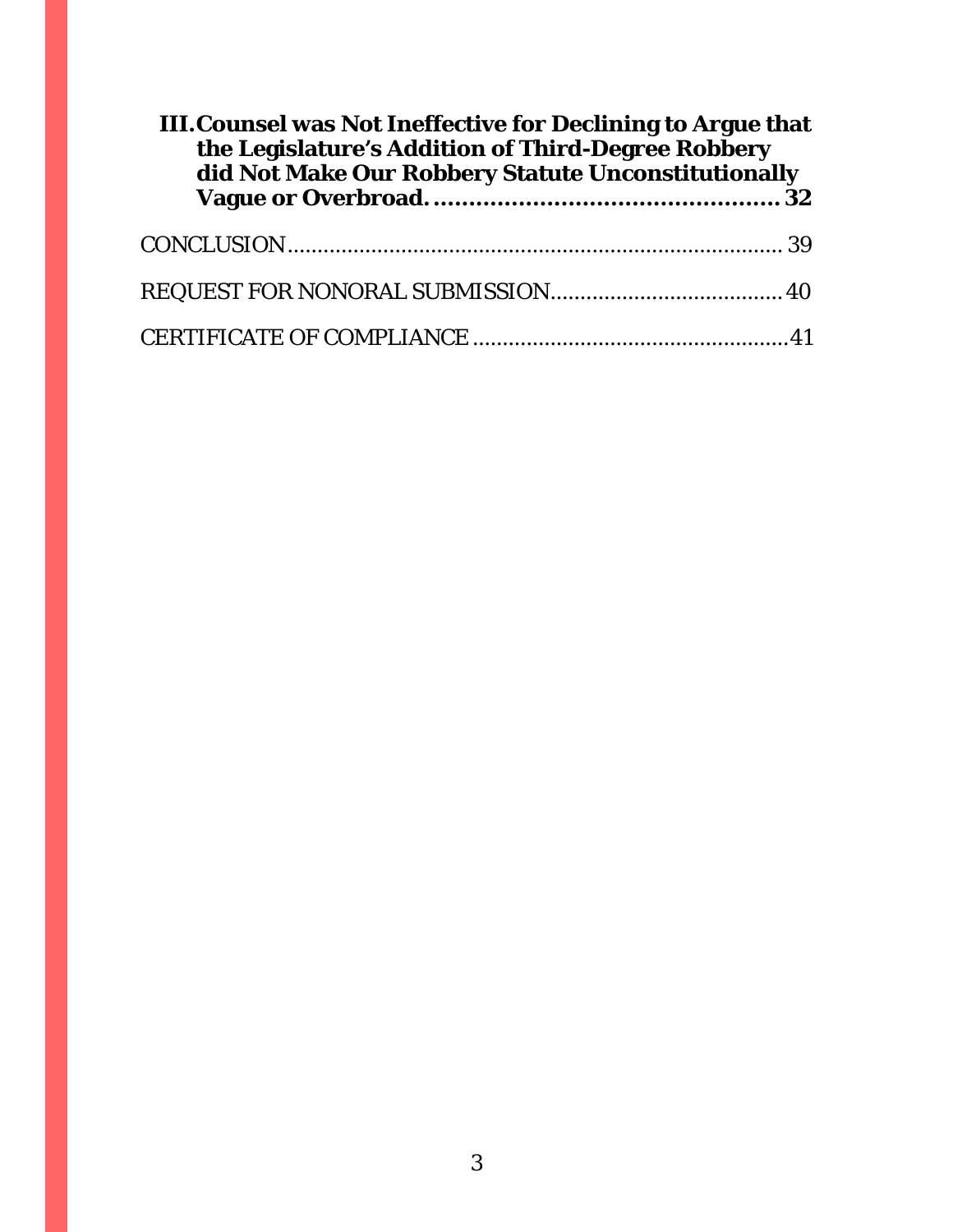| <b>III. Counsel was Not Ineffective for Declining to Argue that</b><br>the Legislature's Addition of Third-Degree Robbery<br>did Not Make Our Robbery Statute Unconstitutionally |  |  |
|----------------------------------------------------------------------------------------------------------------------------------------------------------------------------------|--|--|
|                                                                                                                                                                                  |  |  |
|                                                                                                                                                                                  |  |  |
|                                                                                                                                                                                  |  |  |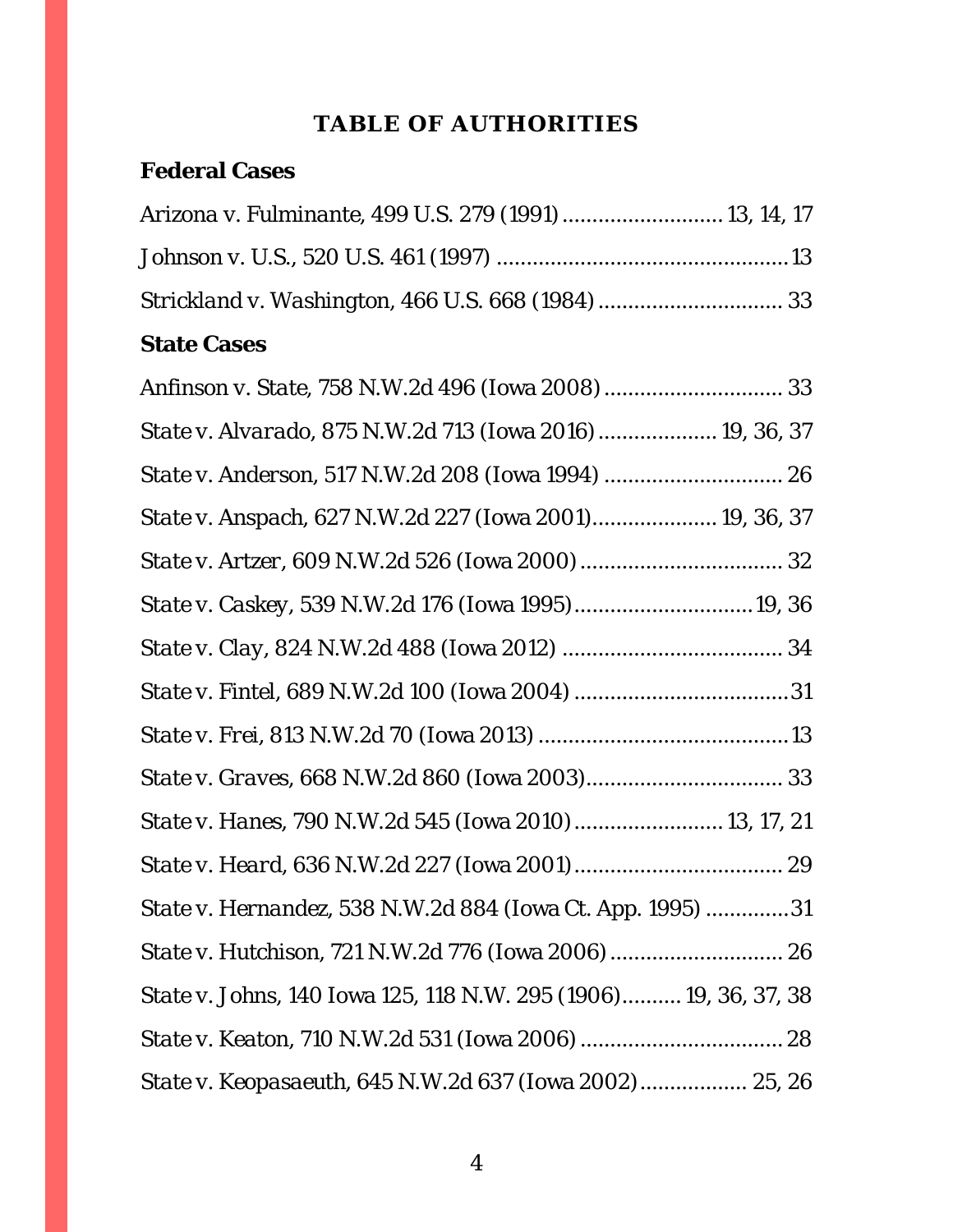# **TABLE OF AUTHORITIES**

# <span id="page-3-0"></span>**Federal Cases**

| Arizona v. Fulminante, 499 U.S. 279 (1991)  13, 14, 17 |  |
|--------------------------------------------------------|--|
|                                                        |  |
|                                                        |  |

# **State Cases**

| State v. Alvarado, 875 N.W.2d 713 (Iowa 2016)  19, 36, 37        |
|------------------------------------------------------------------|
|                                                                  |
| State v. Anspach, 627 N.W.2d 227 (Iowa 2001) 19, 36, 37          |
|                                                                  |
| State v. Caskey, 539 N.W.2d 176 (Iowa 1995)19, 36                |
|                                                                  |
|                                                                  |
|                                                                  |
|                                                                  |
| State v. Hanes, 790 N.W.2d 545 (Iowa 2010)  13, 17, 21           |
|                                                                  |
| State v. Hernandez, 538 N.W.2d 884 (Iowa Ct. App. 1995) 31       |
| State v. Hutchison, 721 N.W.2d 776 (Iowa 2006)  26               |
| State v. Johns, 140 Iowa 125, 118 N.W. 295 (1906) 19, 36, 37, 38 |
|                                                                  |
| State v. Keopasaeuth, 645 N.W.2d 637 (Iowa 2002) 25, 26          |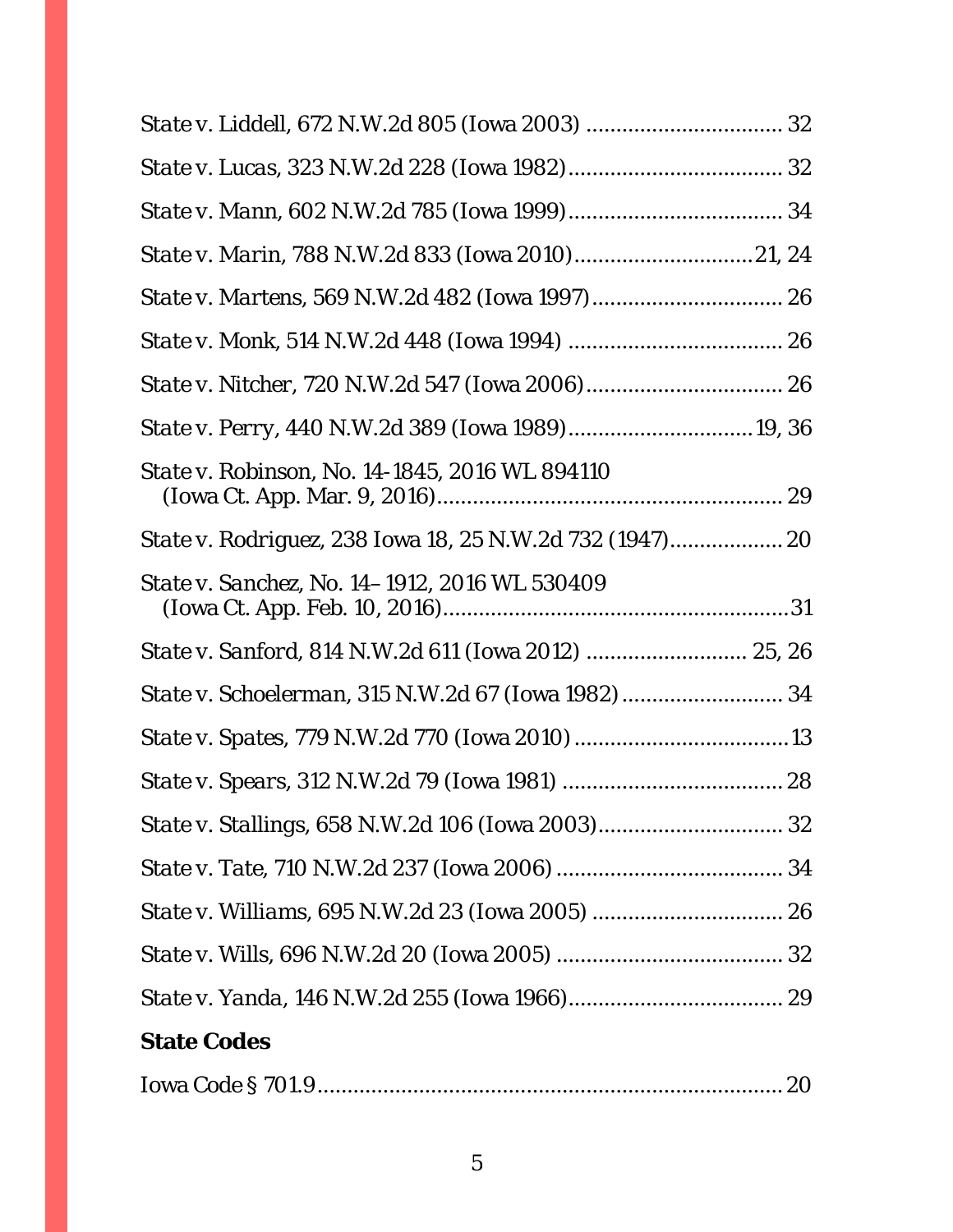| State v. Perry, 440 N.W.2d 389 (Iowa 1989)19, 36      |  |
|-------------------------------------------------------|--|
| <i>State v. Robinson, No.</i> 14-1845, 2016 WL 894110 |  |
|                                                       |  |
| <i>State v. Sanchez, No.</i> 14–1912, 2016 WL 530409  |  |
|                                                       |  |
| State v. Schoelerman, 315 N.W.2d 67 (Iowa 1982)  34   |  |
|                                                       |  |
|                                                       |  |
|                                                       |  |
|                                                       |  |
|                                                       |  |
|                                                       |  |
|                                                       |  |
| <b>State Codes</b>                                    |  |
|                                                       |  |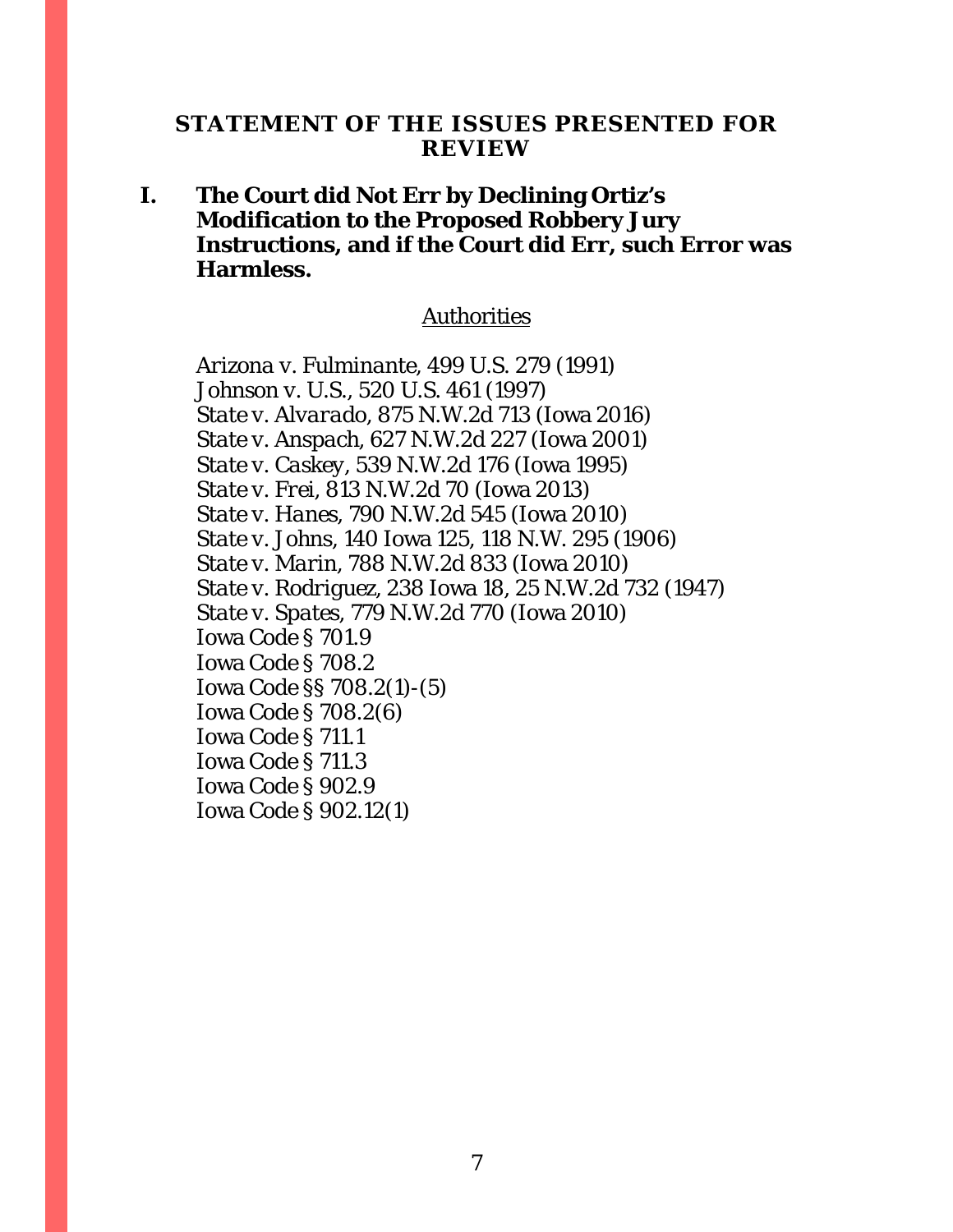### <span id="page-6-0"></span>**STATEMENT OF THE ISSUES PRESENTED FOR REVIEW**

## **I. The Court did Not Err by Declining Ortiz's Modification to the Proposed Robbery Jury Instructions, and if the Court did Err, such Error was Harmless.**

#### Authorities

*Arizona v. Fulminante*, 499 U.S. 279 (1991) *Johnson v. U.S.*, 520 U.S. 461 (1997) *State v. Alvarado*, 875 N.W.2d 713 (Iowa 2016) *State v. Anspach*, 627 N.W.2d 227 (Iowa 2001) *State v. Caskey*, 539 N.W.2d 176 (Iowa 1995) *State v. Frei*, 813 N.W.2d 70 (Iowa 2013) *State v. Hanes*, 790 N.W.2d 545 (Iowa 2010) *State v. Johns*, 140 Iowa 125, 118 N.W. 295 (1906) *State v. Marin*, 788 N.W.2d 833 (Iowa 2010) *State v. Rodriguez*, 238 Iowa 18, 25 N.W.2d 732 (1947) *State v. Spates*, 779 N.W.2d 770 (Iowa 2010) Iowa Code § 701.9 Iowa Code § 708.2 Iowa Code §§ 708.2(1)-(5) Iowa Code § 708.2(6) Iowa Code § 711.1 Iowa Code § 711.3 Iowa Code § 902.9 Iowa Code § 902.12(1)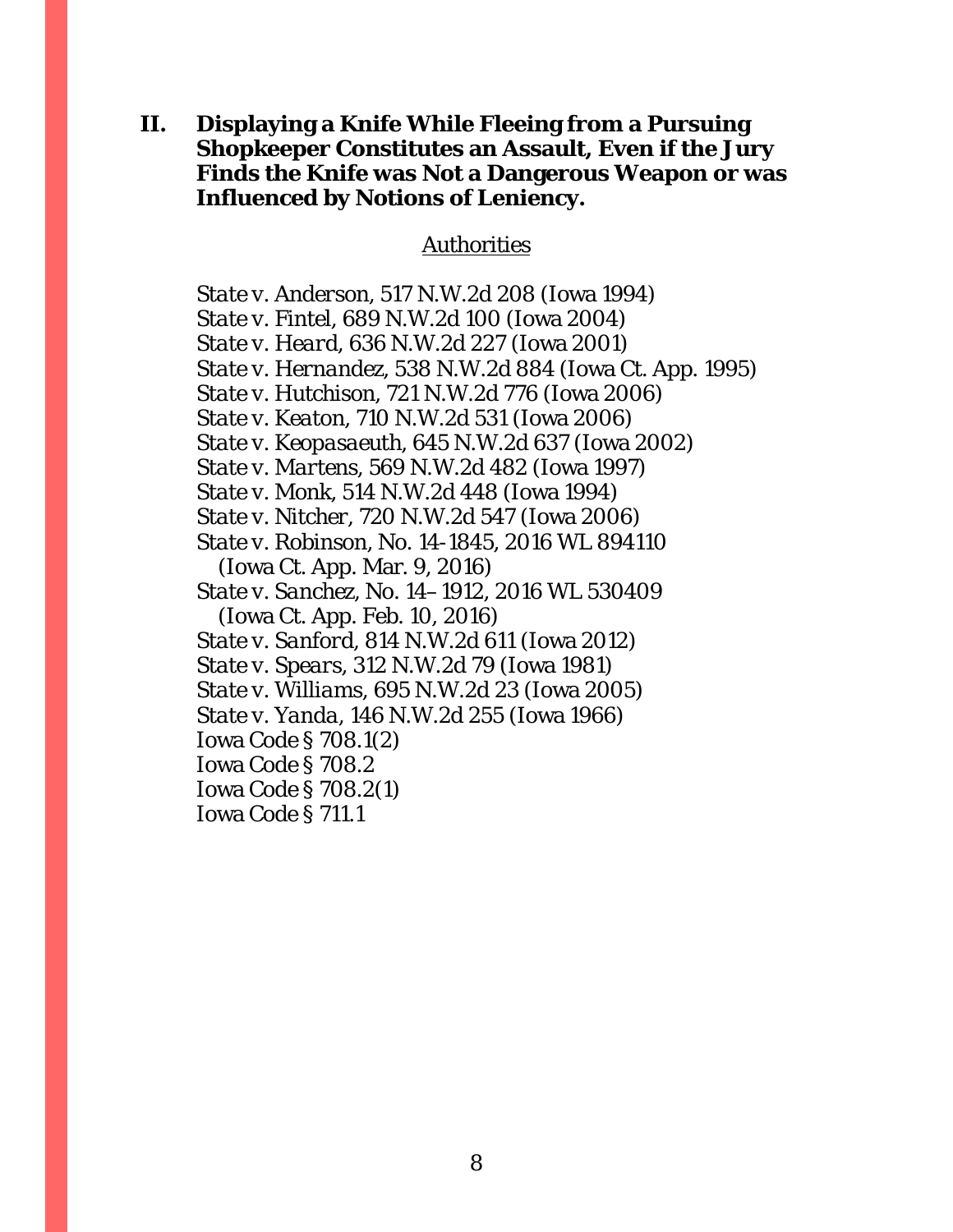## **II. Displaying a Knife While Fleeing from a Pursuing Shopkeeper Constitutes an Assault, Even if the Jury Finds the Knife was Not a Dangerous Weapon or was Influenced by Notions of Leniency.**

#### Authorities

*State v. Anderson*, 517 N.W.2d 208 (Iowa 1994) *State v. Fintel*, 689 N.W.2d 100 (Iowa 2004) *State v. Heard*, 636 N.W.2d 227 (Iowa 2001) *State v. Hernandez*, 538 N.W.2d 884 (Iowa Ct. App. 1995) *State v. Hutchison*, 721 N.W.2d 776 (Iowa 2006) *State v. Keaton*, 710 N.W.2d 531 (Iowa 2006) *State v. Keopasaeuth*, 645 N.W.2d 637 (Iowa 2002) *State v. Martens*, 569 N.W.2d 482 (Iowa 1997) *State v. Monk*, 514 N.W.2d 448 (Iowa 1994) *State v. Nitcher*, 720 N.W.2d 547 (Iowa 2006) *State v. Robinson*, No. 14-1845, 2016 WL 894110 (Iowa Ct. App. Mar. 9, 2016) *State v. Sanchez*, No. 14–1912, 2016 WL 530409 (Iowa Ct. App. Feb. 10, 2016) *State v. Sanford*, 814 N.W.2d 611 (Iowa 2012) *State v. Spears*, 312 N.W.2d 79 (Iowa 1981) *State v. Williams*, 695 N.W.2d 23 (Iowa 2005) *State v. Yanda*, 146 N.W.2d 255 (Iowa 1966) Iowa Code § 708.1(2) Iowa Code § 708.2 Iowa Code § 708.2(1) Iowa Code § 711.1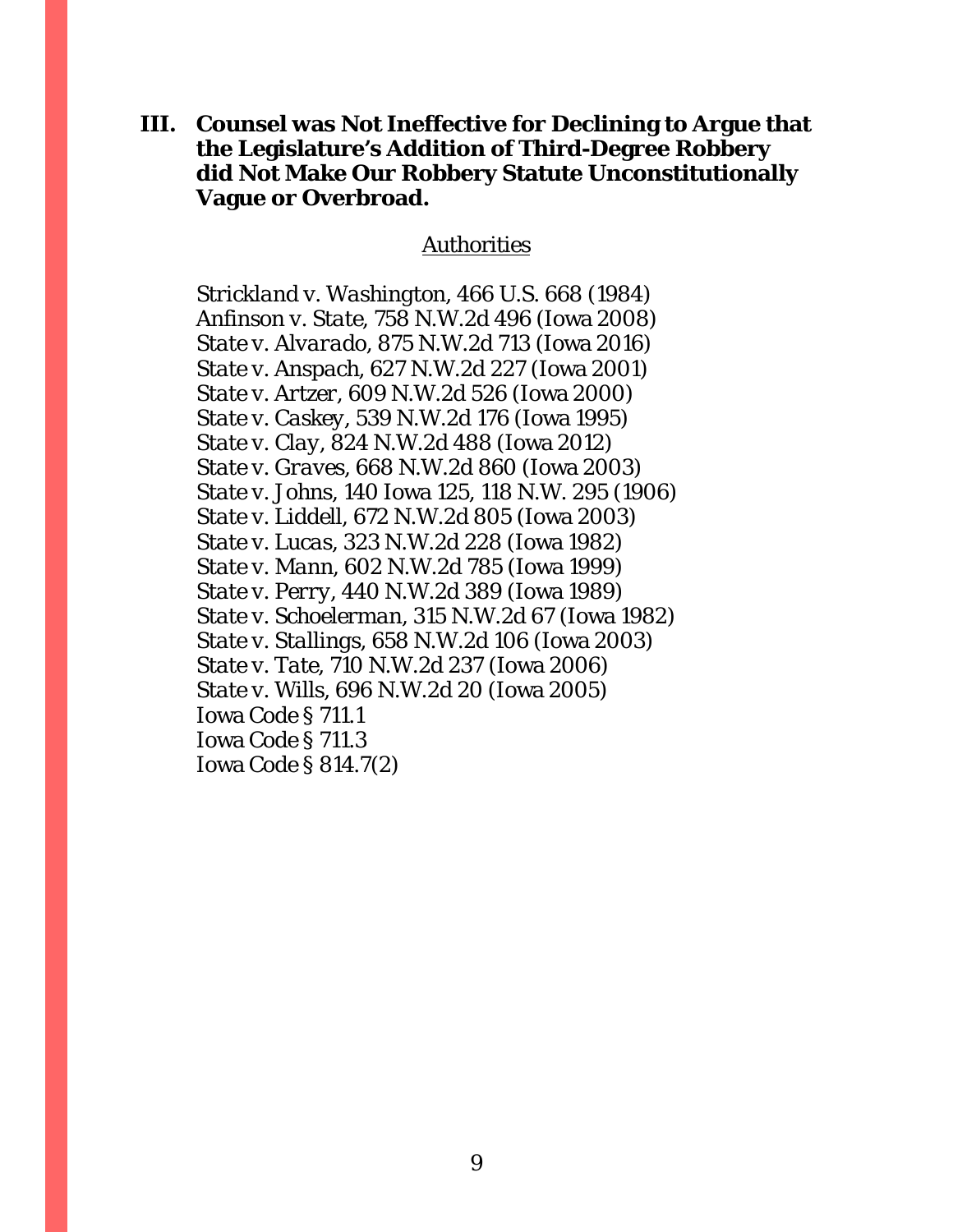## **III. Counsel was Not Ineffective for Declining to Argue that the Legislature's Addition of Third-Degree Robbery did Not Make Our Robbery Statute Unconstitutionally Vague or Overbroad.**

#### Authorities

*Strickland v. Washington*, 466 U.S. 668 (1984) *Anfinson v. State,* 758 N.W.2d 496 (Iowa 2008) *State v. Alvarado*, 875 N.W.2d 713 (Iowa 2016) *State v. Anspach*, 627 N.W.2d 227 (Iowa 2001) *State v. Artzer*, 609 N.W.2d 526 (Iowa 2000) *State v. Caskey*, 539 N.W.2d 176 (Iowa 1995) *State v. Clay*, 824 N.W.2d 488 (Iowa 2012) *State v. Graves*, 668 N.W.2d 860 (Iowa 2003) *State v. Johns*, 140 Iowa 125, 118 N.W. 295 (1906) *State v. Liddell*, 672 N.W.2d 805 (Iowa 2003) *State v. Lucas*, 323 N.W.2d 228 (Iowa 1982) *State v. Mann*, 602 N.W.2d 785 (Iowa 1999) *State v. Perry*, 440 N.W.2d 389 (Iowa 1989) *State v. Schoelerman*, 315 N.W.2d 67 (Iowa 1982) *State v. Stallings*, 658 N.W.2d 106 (Iowa 2003) *State v. Tate*, 710 N.W.2d 237 (Iowa 2006) *State v. Wills*, 696 N.W.2d 20 (Iowa 2005) Iowa Code § 711.1 Iowa Code § 711.3 Iowa Code § 814.7(2)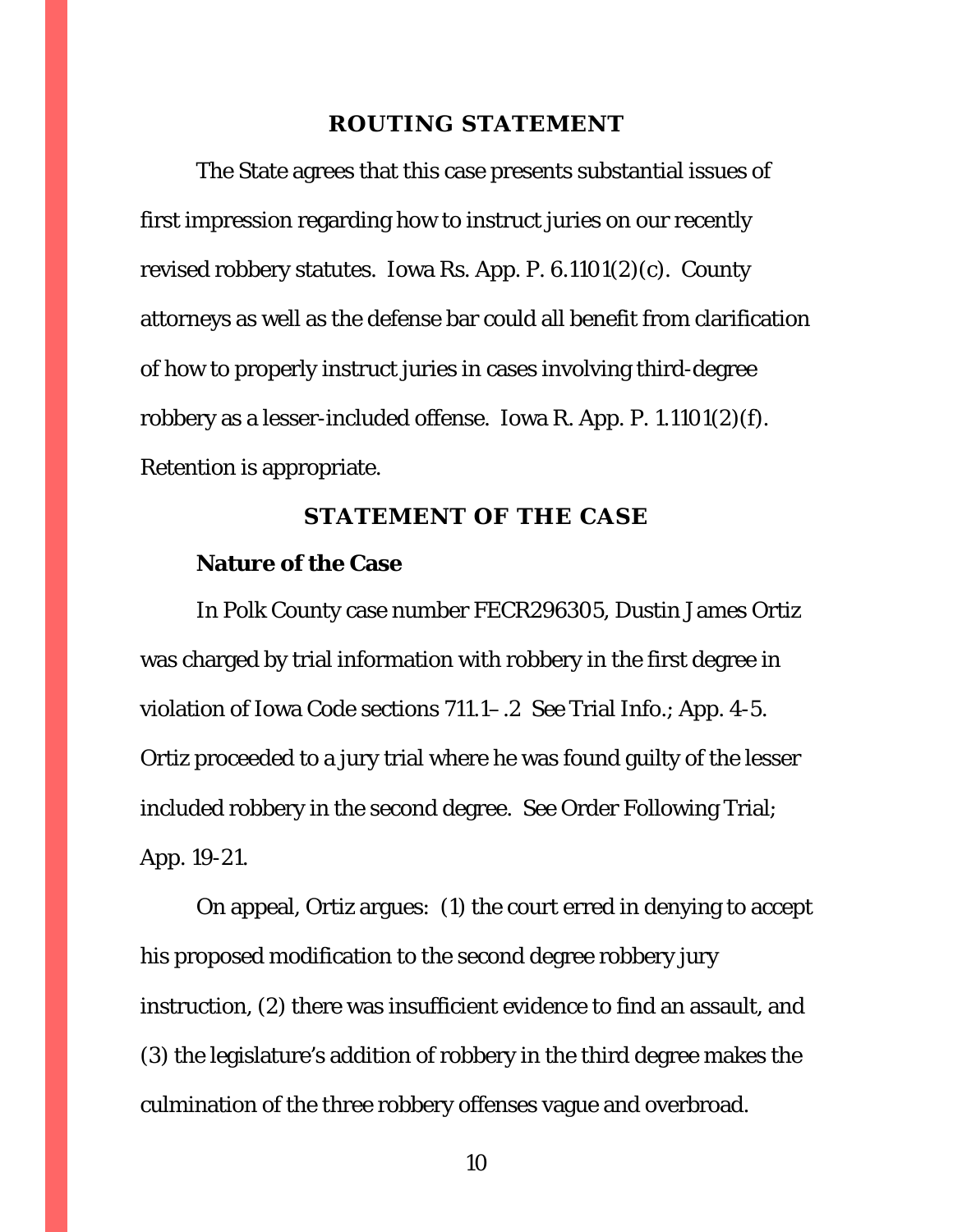#### **ROUTING STATEMENT**

<span id="page-9-0"></span>The State agrees that this case presents substantial issues of first impression regarding how to instruct juries on our recently revised robbery statutes. Iowa Rs. App. P. 6.1101(2)(*c*). County attorneys as well as the defense bar could all benefit from clarification of how to properly instruct juries in cases involving third-degree robbery as a lesser-included offense. Iowa R. App. P. 1.1101(2)(*f*). Retention is appropriate.

### **STATEMENT OF THE CASE**

#### <span id="page-9-1"></span>**Nature of the Case**

In Polk County case number FECR296305, Dustin James Ortiz was charged by trial information with robbery in the first degree in violation of Iowa Code sections 711.1–.2 *See* Trial Info.; App. 4-5. Ortiz proceeded to a jury trial where he was found guilty of the lesser included robbery in the second degree. *See* Order Following Trial; App. 19-21.

On appeal, Ortiz argues: (1) the court erred in denying to accept his proposed modification to the second degree robbery jury instruction, (2) there was insufficient evidence to find an assault, and (3) the legislature's addition of robbery in the third degree makes the culmination of the three robbery offenses vague and overbroad.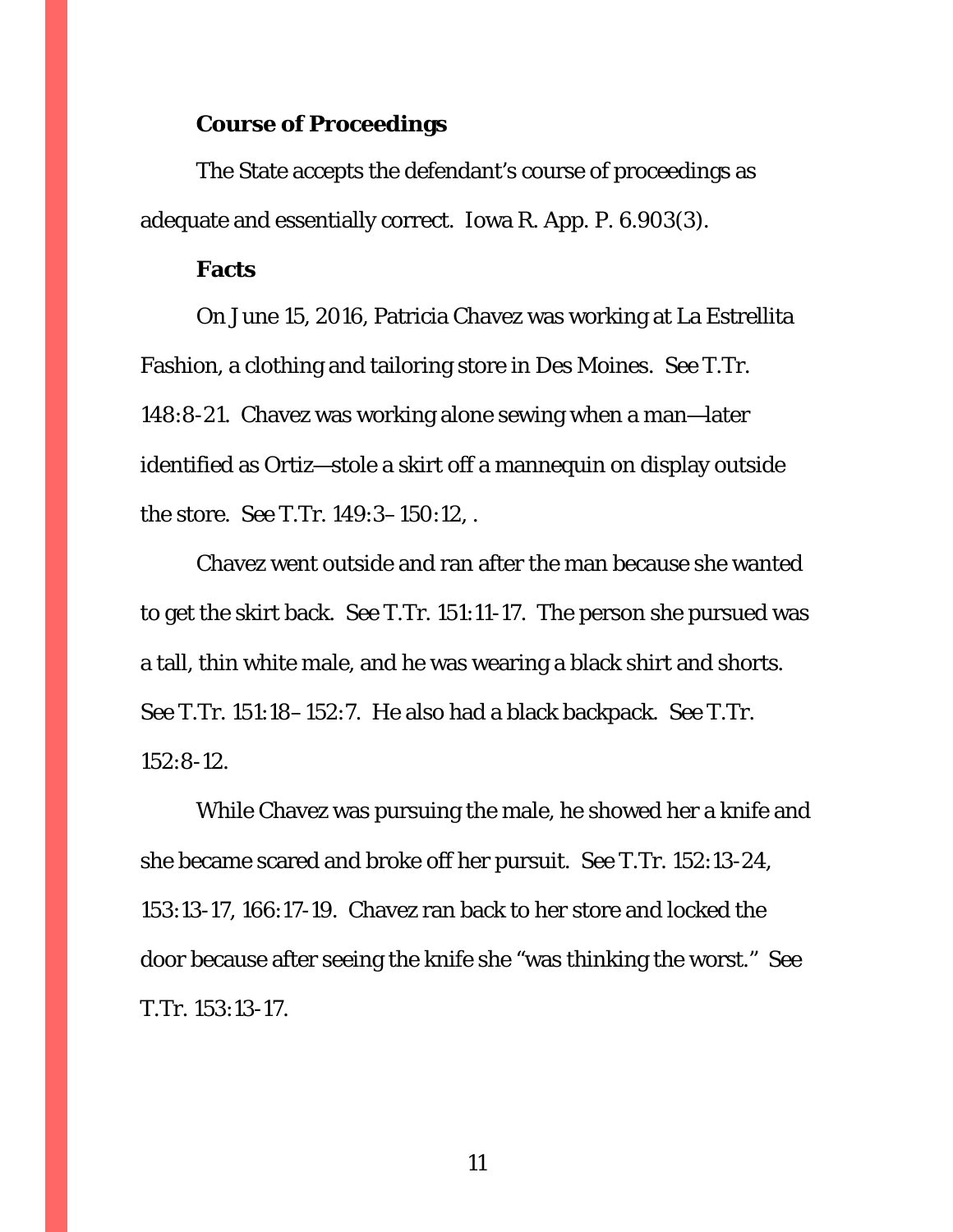### **Course of Proceedings**

The State accepts the defendant's course of proceedings as adequate and essentially correct. Iowa R. App. P. 6.903(3).

#### **Facts**

On June 15, 2016, Patricia Chavez was working at La Estrellita Fashion, a clothing and tailoring store in Des Moines. *See* T.Tr. 148:8-21. Chavez was working alone sewing when a man—later identified as Ortiz—stole a skirt off a mannequin on display outside the store. *See* T.Tr. 149:3–150:12, .

Chavez went outside and ran after the man because she wanted to get the skirt back. *See* T.Tr. 151:11-17. The person she pursued was a tall, thin white male, and he was wearing a black shirt and shorts. *See* T.Tr. 151:18–152:7. He also had a black backpack. *See* T.Tr. 152:8-12.

While Chavez was pursuing the male, he showed her a knife and she became scared and broke off her pursuit. *See* T.Tr. 152:13-24, 153:13-17, 166:17-19. Chavez ran back to her store and locked the door because after seeing the knife she "was thinking the worst." *See* T.Tr. 153:13-17.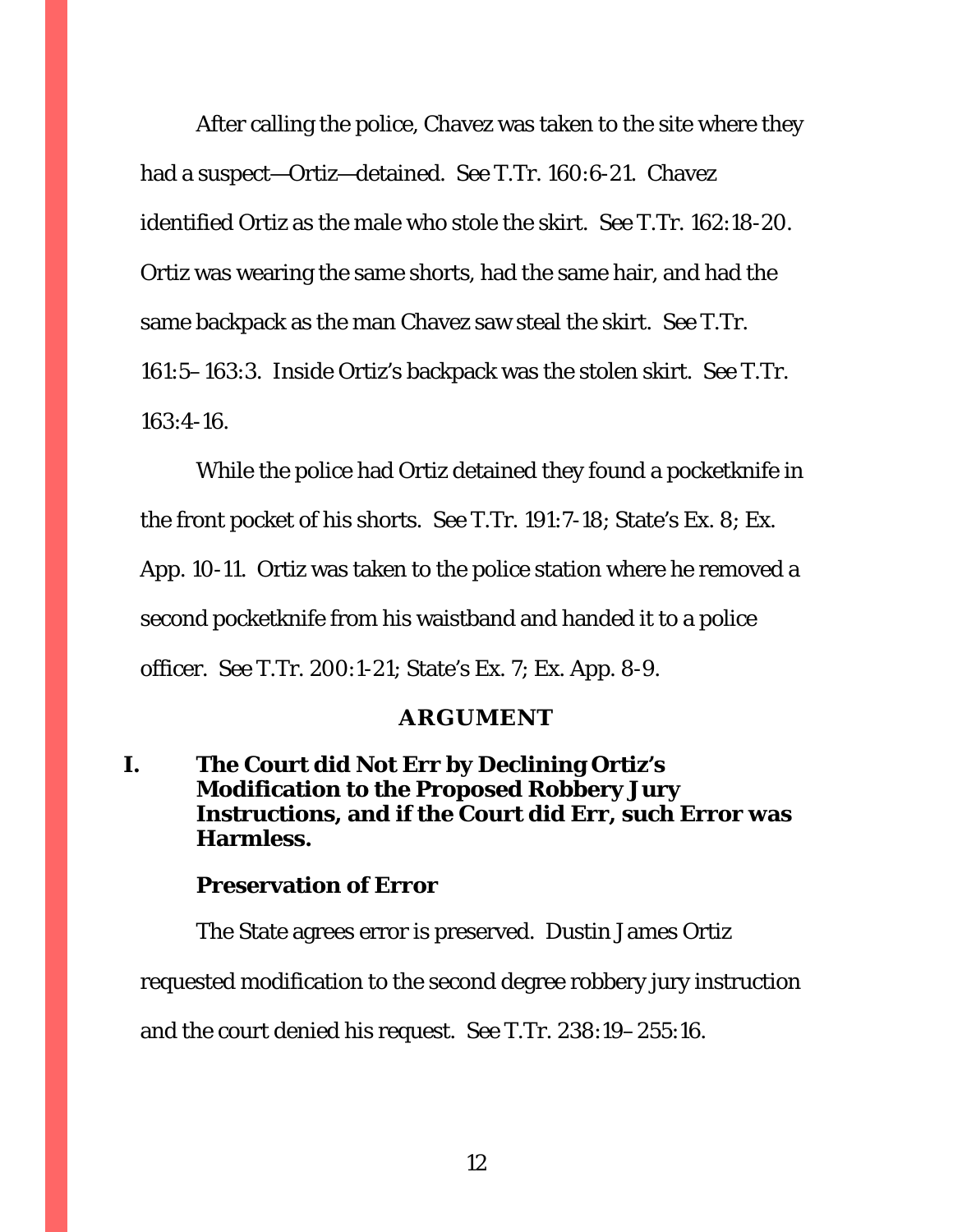After calling the police, Chavez was taken to the site where they had a suspect—Ortiz—detained. *See* T.Tr. 160:6-21. Chavez identified Ortiz as the male who stole the skirt. *See* T.Tr. 162:18-20. Ortiz was wearing the same shorts, had the same hair, and had the same backpack as the man Chavez saw steal the skirt. *See* T.Tr. 161:5–163:3. Inside Ortiz's backpack was the stolen skirt. *See* T.Tr. 163:4-16.

While the police had Ortiz detained they found a pocketknife in the front pocket of his shorts. *See* T.Tr. 191:7-18; State's Ex. 8; Ex. App. 10-11. Ortiz was taken to the police station where he removed a second pocketknife from his waistband and handed it to a police officer. *See* T.Tr. 200:1-21; State's Ex. 7; Ex. App. 8-9.

## **ARGUMENT**

<span id="page-11-1"></span><span id="page-11-0"></span>**I. The Court did Not Err by Declining Ortiz's Modification to the Proposed Robbery Jury Instructions, and if the Court did Err, such Error was Harmless.**

#### **Preservation of Error**

The State agrees error is preserved. Dustin James Ortiz requested modification to the second degree robbery jury instruction and the court denied his request. *See* T.Tr. 238:19–255:16.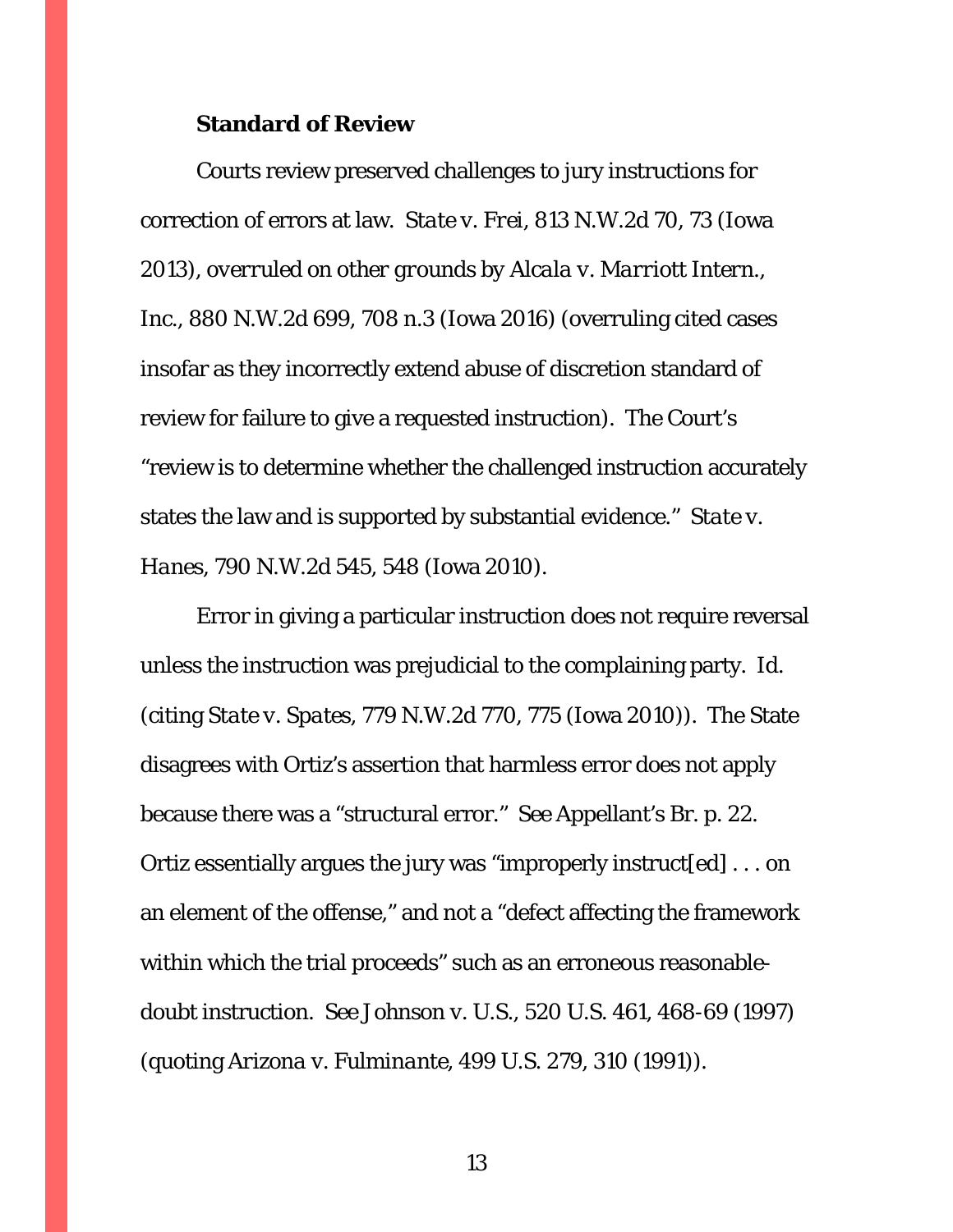#### **Standard of Review**

Courts review preserved challenges to jury instructions for correction of errors at law. *State v. Frei*, 813 N.W.2d 70, 73 (Iowa 2013), *overruled on other grounds by Alcala v. Marriott Intern., Inc.*, 880 N.W.2d 699, 708 n.3 (Iowa 2016) (overruling cited cases insofar as they incorrectly extend abuse of discretion standard of review for failure to give a requested instruction). The Court's "review is to determine whether the challenged instruction accurately states the law and is supported by substantial evidence." *State v. Hanes*, 790 N.W.2d 545, 548 (Iowa 2010).

Error in giving a particular instruction does not require reversal unless the instruction was prejudicial to the complaining party. *Id.*  (citing *State v. Spates*, 779 N.W.2d 770, 775 (Iowa 2010)). The State disagrees with Ortiz's assertion that harmless error does not apply because there was a "structural error." *See* Appellant's Br. p. 22. Ortiz essentially argues the jury was "improperly instruct[ed] . . . on an element of the offense," and not a "defect affecting the framework within which the trial proceeds" such as an erroneous reasonabledoubt instruction. *See Johnson v. U.S.*, 520 U.S. 461, 468-69 (1997) (quoting *Arizona v. Fulminante*, 499 U.S. 279, 310 (1991)).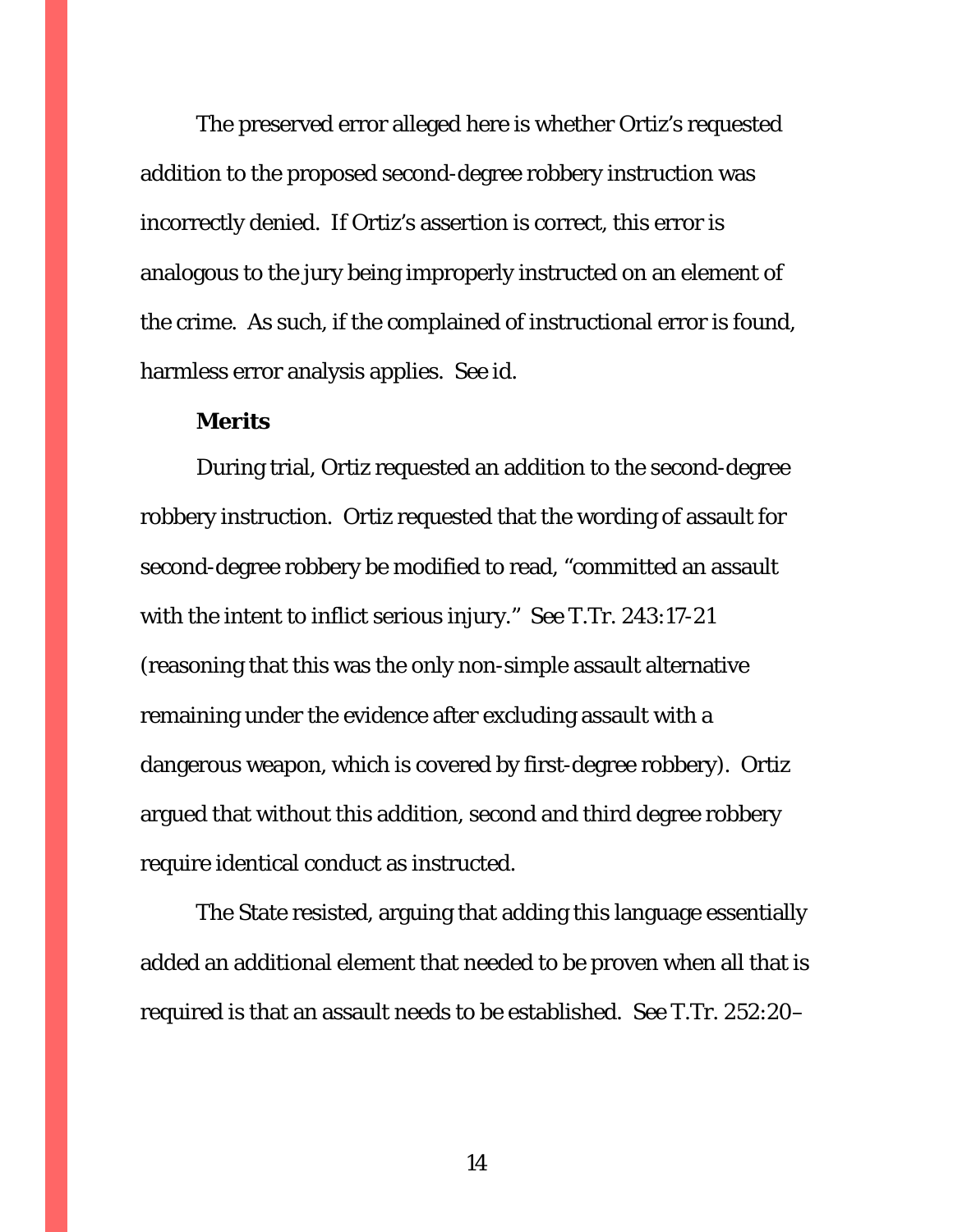The preserved error alleged here is whether Ortiz's requested addition to the proposed second-degree robbery instruction was incorrectly denied. If Ortiz's assertion is correct, this error is analogous to the jury being improperly instructed on an element of the crime. As such, if the complained of instructional error is found, harmless error analysis applies. *See id.*

### **Merits**

During trial, Ortiz requested an addition to the second-degree robbery instruction. Ortiz requested that the wording of assault for second-degree robbery be modified to read, "committed an assault with the intent to inflict serious injury." *See* T.Tr. 243:17-21 (reasoning that this was the only non-simple assault alternative remaining under the evidence after excluding assault with a dangerous weapon, which is covered by first-degree robbery). Ortiz argued that without this addition, second and third degree robbery require identical conduct as instructed.

The State resisted, arguing that adding this language essentially added an additional element that needed to be proven when all that is required is that an assault needs to be established. *See* T.Tr. 252:20–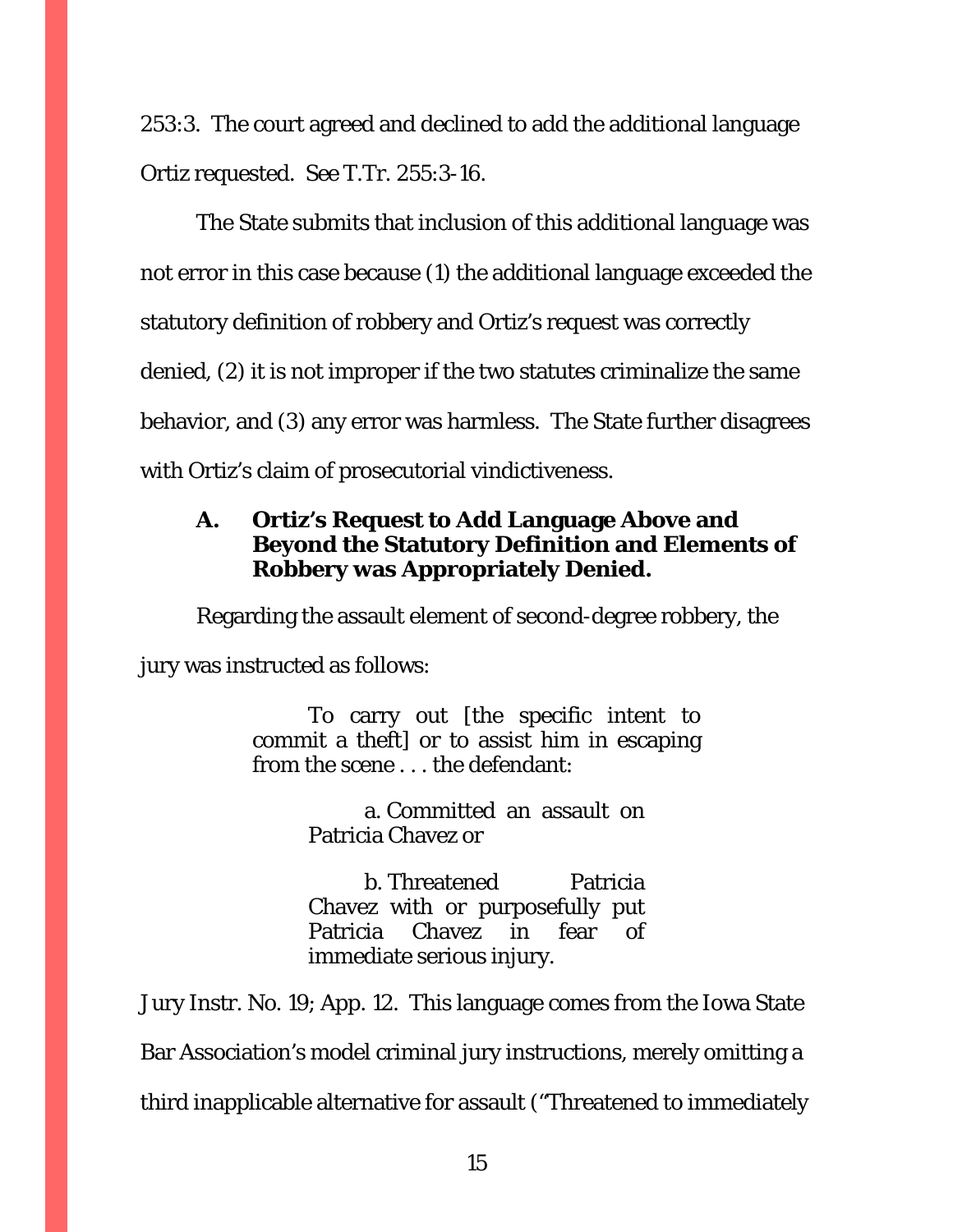253:3. The court agreed and declined to add the additional language Ortiz requested. *See* T.Tr. 255:3-16.

The State submits that inclusion of this additional language was not error in this case because (1) the additional language exceeded the statutory definition of robbery and Ortiz's request was correctly denied, (2) it is not improper if the two statutes criminalize the same behavior, and (3) any error was harmless. The State further disagrees with Ortiz's claim of prosecutorial vindictiveness.

## <span id="page-14-0"></span>**A. Ortiz's Request to Add Language Above and Beyond the Statutory Definition and Elements of Robbery was Appropriately Denied.**

Regarding the assault element of second-degree robbery, the

jury was instructed as follows:

To carry out [the specific intent to commit a theft] or to assist him in escaping from the scene . . . the defendant:

> a. Committed an assault on Patricia Chavez or

> b. Threatened Patricia Chavez with or purposefully put Patricia Chavez in fear of immediate serious injury.

Jury Instr. No. 19; App. 12. This language comes from the Iowa State Bar Association's model criminal jury instructions, merely omitting a third inapplicable alternative for assault ("Threatened to immediately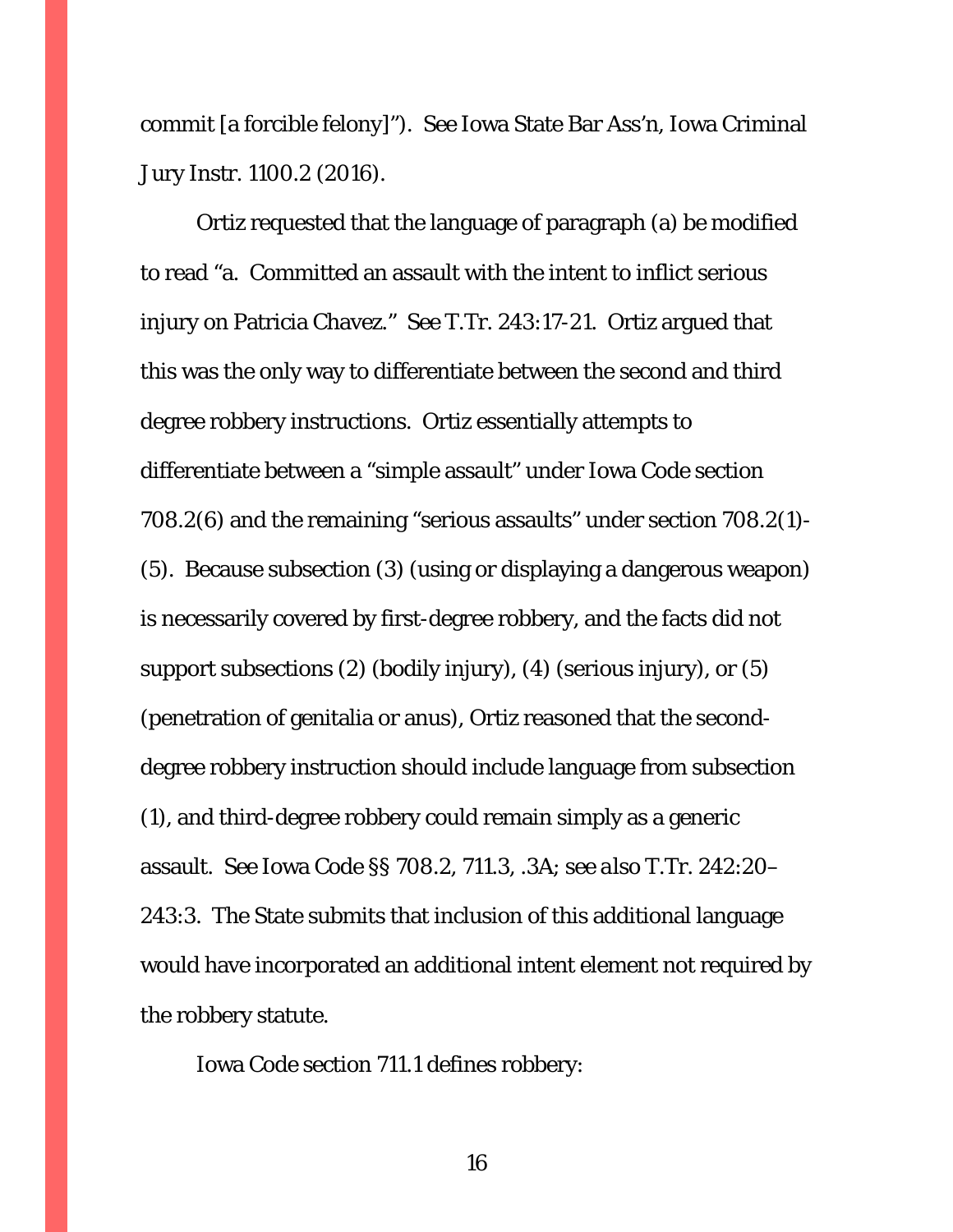commit [a forcible felony]"). *See* Iowa State Bar Ass'n, Iowa Criminal Jury Instr. 1100.2 (2016).

Ortiz requested that the language of paragraph (a) be modified to read "a. Committed an assault with the intent to inflict serious injury on Patricia Chavez." *See* T.Tr. 243:17-21. Ortiz argued that this was the only way to differentiate between the second and third degree robbery instructions. Ortiz essentially attempts to differentiate between a "simple assault" under Iowa Code section 708.2(6) and the remaining "serious assaults" under section 708.2(1)- (5). Because subsection (3) (using or displaying a dangerous weapon) is necessarily covered by first-degree robbery, and the facts did not support subsections (2) (bodily injury), (4) (serious injury), or (5) (penetration of genitalia or anus), Ortiz reasoned that the seconddegree robbery instruction should include language from subsection (1), and third-degree robbery could remain simply as a generic assault. *See* Iowa Code §§ 708.2, 711.3, .3A; *see also* T.Tr. 242:20– 243:3. The State submits that inclusion of this additional language would have incorporated an additional intent element not required by the robbery statute.

Iowa Code section 711.1 defines robbery: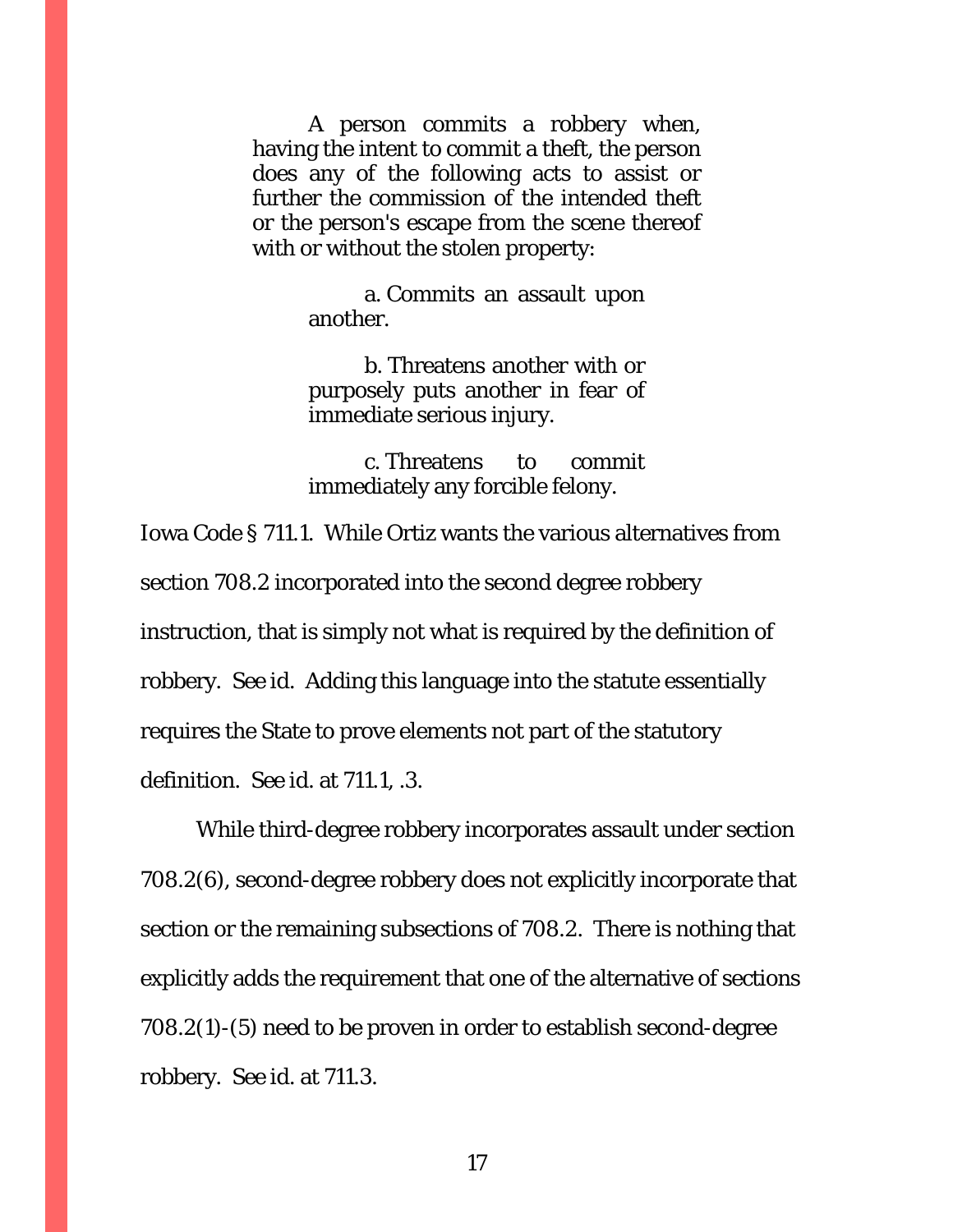A person commits a robbery when, having the intent to commit a theft, the person does any of the following acts to assist or further the commission of the intended theft or the person's escape from the scene thereof with or without the stolen property:

> a. Commits an assault upon another.

> b. Threatens another with or purposely puts another in fear of immediate serious injury.

> c. Threatens to commit immediately any forcible felony.

Iowa Code § 711.1. While Ortiz wants the various alternatives from section 708.2 incorporated into the second degree robbery instruction, that is simply not what is required by the definition of robbery. *See id.* Adding this language into the statute essentially requires the State to prove elements not part of the statutory definition. *See id.* at 711.1, .3.

While third-degree robbery incorporates assault under section 708.2(6), second-degree robbery does not explicitly incorporate that section or the remaining subsections of 708.2. There is nothing that explicitly adds the requirement that one of the alternative of sections 708.2(1)-(5) need to be proven in order to establish second-degree robbery. *See id.* at 711.3.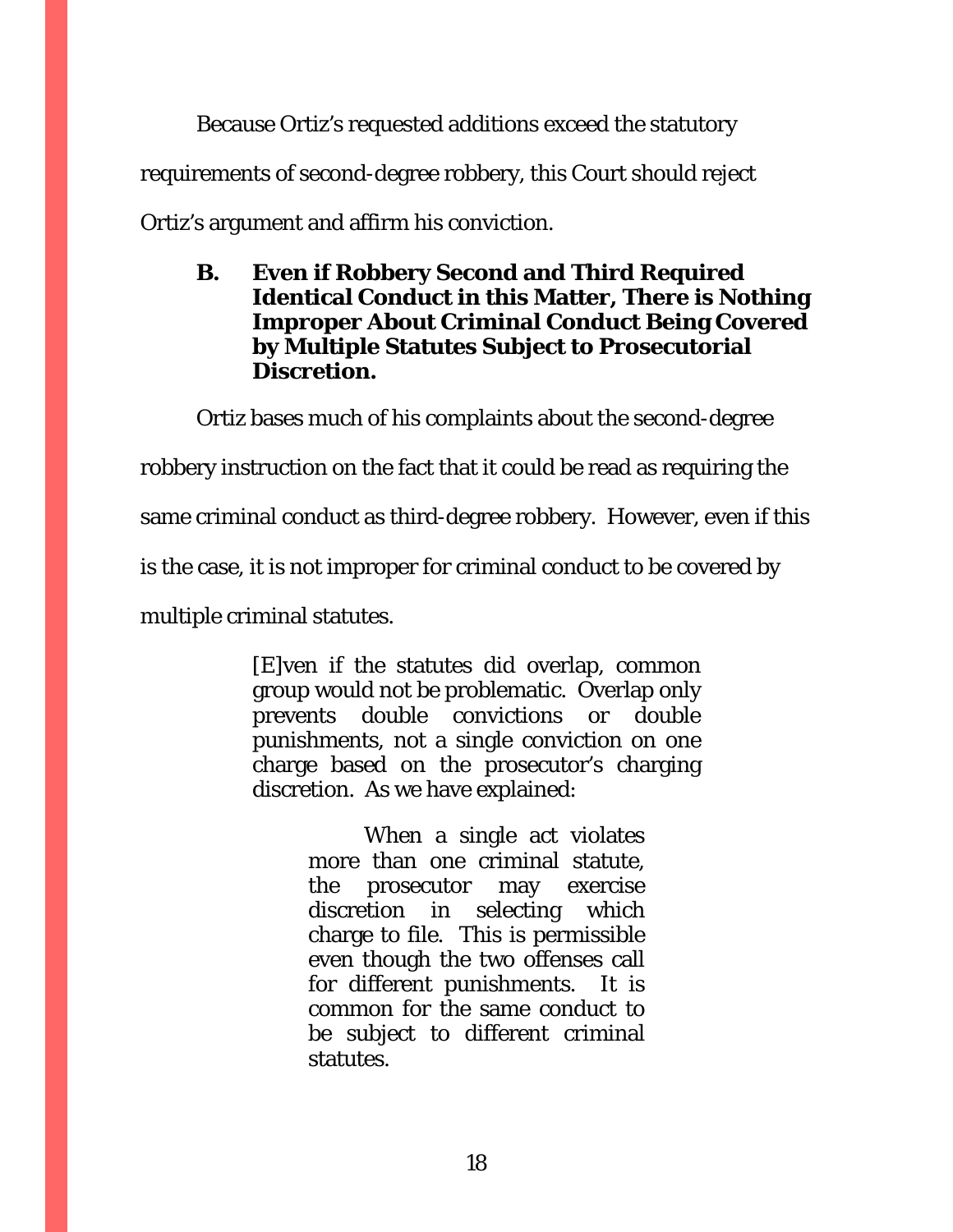Because Ortiz's requested additions exceed the statutory requirements of second-degree robbery, this Court should reject Ortiz's argument and affirm his conviction.

<span id="page-17-0"></span>**B. Even if Robbery Second and Third Required Identical Conduct in this Matter, There is Nothing Improper About Criminal Conduct Being Covered by Multiple Statutes Subject to Prosecutorial Discretion.**

Ortiz bases much of his complaints about the second-degree robbery instruction on the fact that it could be read as requiring the same criminal conduct as third-degree robbery. However, even if this is the case, it is not improper for criminal conduct to be covered by multiple criminal statutes.

> [E]ven if the statutes did overlap, common group would not be problematic. Overlap only prevents double convictions or double punishments, not a single conviction on one charge based on the prosecutor's charging discretion. As we have explained:

> > When a single act violates more than one criminal statute, the prosecutor may exercise discretion in selecting which charge to file. This is permissible even though the two offenses call for different punishments. It is common for the same conduct to be subject to different criminal statutes.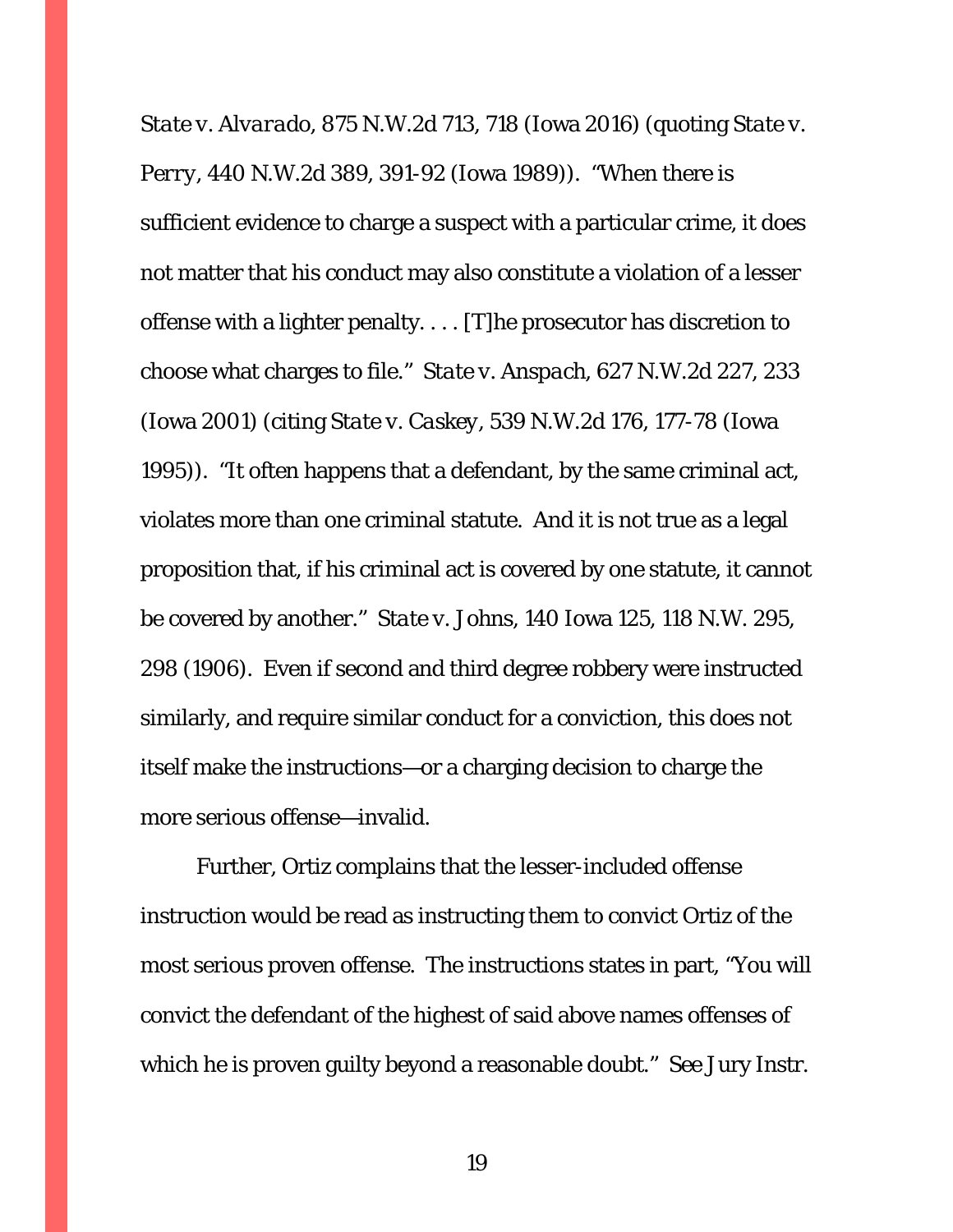*State v. Alvarado*, 875 N.W.2d 713, 718 (Iowa 2016) (quoting *State v. Perry*, 440 N.W.2d 389, 391-92 (Iowa 1989)). "When there is sufficient evidence to charge a suspect with a particular crime, it does not matter that his conduct may also constitute a violation of a lesser offense with a lighter penalty. . . . [T]he prosecutor has discretion to choose what charges to file." *State v. Anspach*, 627 N.W.2d 227, 233 (Iowa 2001) (citing *State v. Caskey*, 539 N.W.2d 176, 177-78 (Iowa 1995)). "It often happens that a defendant, by the same criminal act, violates more than one criminal statute. And it is not true as a legal proposition that, if his criminal act is covered by one statute, it cannot be covered by another." *State v. Johns*, 140 Iowa 125, 118 N.W. 295, 298 (1906). Even if second and third degree robbery were instructed similarly, and require similar conduct for a conviction, this does not itself make the instructions—or a charging decision to charge the more serious offense—invalid.

Further, Ortiz complains that the lesser-included offense instruction would be read as instructing them to convict Ortiz of the most serious proven offense. The instructions states in part, "You will convict the defendant of the highest of said above names offenses of which he is proven guilty beyond a reasonable doubt." *See* Jury Instr.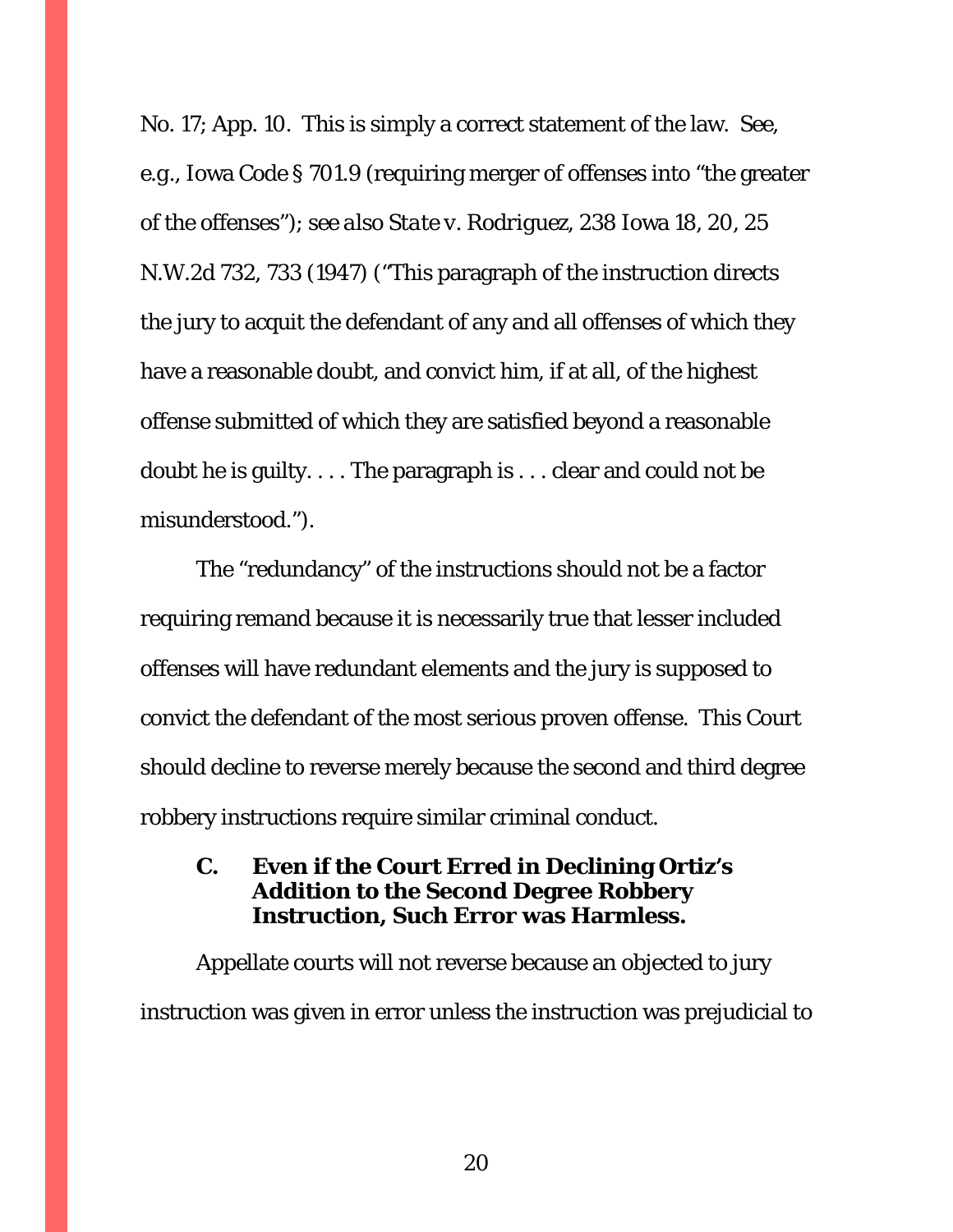No. 17; App. 10. This is simply a correct statement of the law. *See, e.g.*, Iowa Code § 701.9 (requiring merger of offenses into "the greater of the offenses"); *see also State v. Rodriguez*, 238 Iowa 18, 20, 25 N.W.2d 732, 733 (1947) ("This paragraph of the instruction directs the jury to acquit the defendant of any and all offenses of which they have a reasonable doubt, and convict him, if at all, of the highest offense submitted of which they are satisfied beyond a reasonable doubt he is guilty. . . . The paragraph is . . . clear and could not be misunderstood.").

The "redundancy" of the instructions should not be a factor requiring remand because it is necessarily true that lesser included offenses will have redundant elements and the jury is supposed to convict the defendant of the most serious proven offense. This Court should decline to reverse merely because the second and third degree robbery instructions require similar criminal conduct.

## <span id="page-19-0"></span>**C. Even if the Court Erred in Declining Ortiz's Addition to the Second Degree Robbery Instruction, Such Error was Harmless.**

Appellate courts will not reverse because an objected to jury instruction was given in error unless the instruction was prejudicial to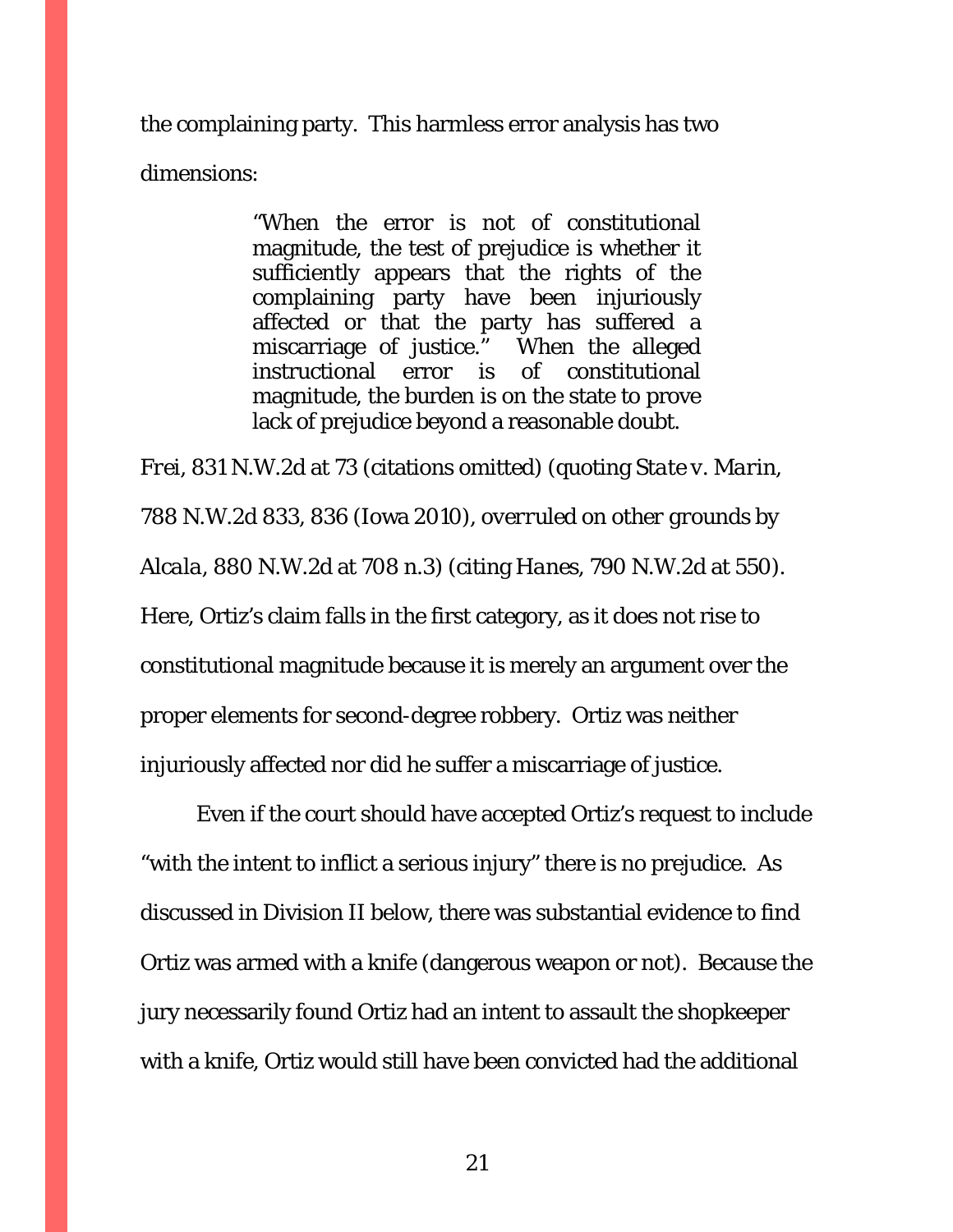the complaining party. This harmless error analysis has two dimensions:

> "When the error is not of constitutional magnitude, the test of prejudice is whether it sufficiently appears that the rights of the complaining party have been injuriously affected or that the party has suffered a miscarriage of justice." When the alleged instructional error is of constitutional magnitude, the burden is on the state to prove lack of prejudice beyond a reasonable doubt.

*Frei*, 831 N.W.2d at 73 (citations omitted) (quoting *State v. Marin*, 788 N.W.2d 833, 836 (Iowa 2010), *overruled on other grounds by Alcala*, 880 N.W.2d at 708 n.3) (citing *Hanes*, 790 N.W.2d at 550). Here, Ortiz's claim falls in the first category, as it does not rise to constitutional magnitude because it is merely an argument over the proper elements for second-degree robbery. Ortiz was neither injuriously affected nor did he suffer a miscarriage of justice.

Even if the court should have accepted Ortiz's request to include "with the intent to inflict a serious injury" there is no prejudice. As discussed in Division II below, there was substantial evidence to find Ortiz was armed with a knife (dangerous weapon or not). Because the jury necessarily found Ortiz had an intent to assault the shopkeeper with a knife, Ortiz would still have been convicted had the additional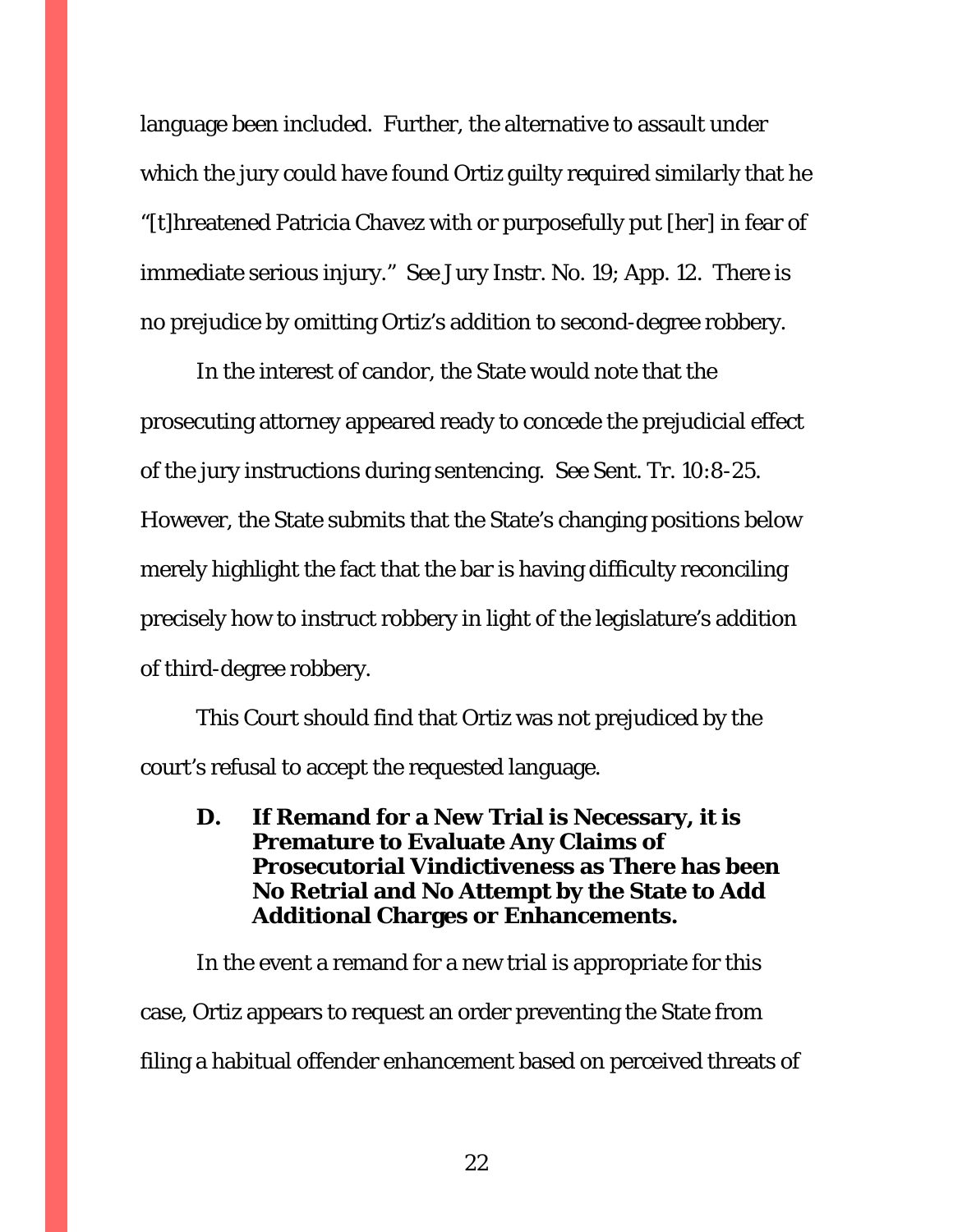language been included. Further, the alternative to assault under which the jury could have found Ortiz guilty required similarly that he "[t]hreatened Patricia Chavez with or purposefully put [her] in fear of immediate serious injury." *See* Jury Instr. No. 19; App. 12. There is no prejudice by omitting Ortiz's addition to second-degree robbery.

In the interest of candor, the State would note that the prosecuting attorney appeared ready to concede the prejudicial effect of the jury instructions during sentencing. *See* Sent. Tr. 10:8-25. However, the State submits that the State's changing positions below merely highlight the fact that the bar is having difficulty reconciling precisely how to instruct robbery in light of the legislature's addition of third-degree robbery.

This Court should find that Ortiz was not prejudiced by the court's refusal to accept the requested language.

<span id="page-21-0"></span>**D. If Remand for a New Trial is Necessary, it is Premature to Evaluate Any Claims of Prosecutorial Vindictiveness as There has been No Retrial and No Attempt by the State to Add Additional Charges or Enhancements.**

In the event a remand for a new trial is appropriate for this case, Ortiz appears to request an order preventing the State from filing a habitual offender enhancement based on perceived threats of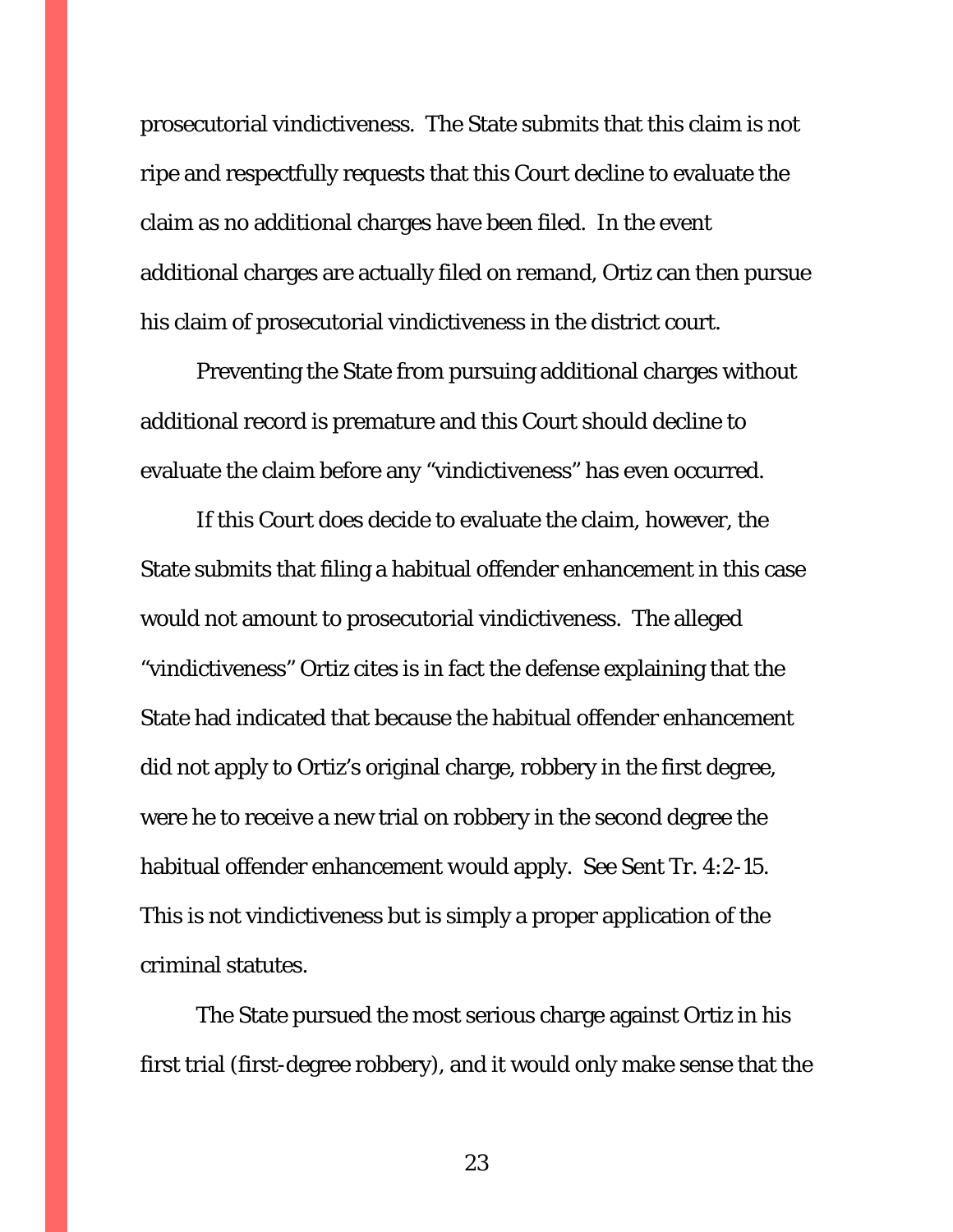prosecutorial vindictiveness. The State submits that this claim is not ripe and respectfully requests that this Court decline to evaluate the claim as no additional charges have been filed. In the event additional charges are actually filed on remand, Ortiz can then pursue his claim of prosecutorial vindictiveness in the district court.

Preventing the State from pursuing additional charges without additional record is premature and this Court should decline to evaluate the claim before any "vindictiveness" has even occurred.

If this Court does decide to evaluate the claim, however, the State submits that filing a habitual offender enhancement in this case would not amount to prosecutorial vindictiveness. The alleged "vindictiveness" Ortiz cites is in fact the defense explaining that the State had indicated that because the habitual offender enhancement did not apply to Ortiz's original charge, robbery in the first degree, were he to receive a new trial on robbery in the second degree the habitual offender enhancement *would* apply. *See* Sent Tr. 4:2-15. This is not vindictiveness but is simply a proper application of the criminal statutes.

The State pursued the most serious charge against Ortiz in his first trial (first-degree robbery), and it would only make sense that the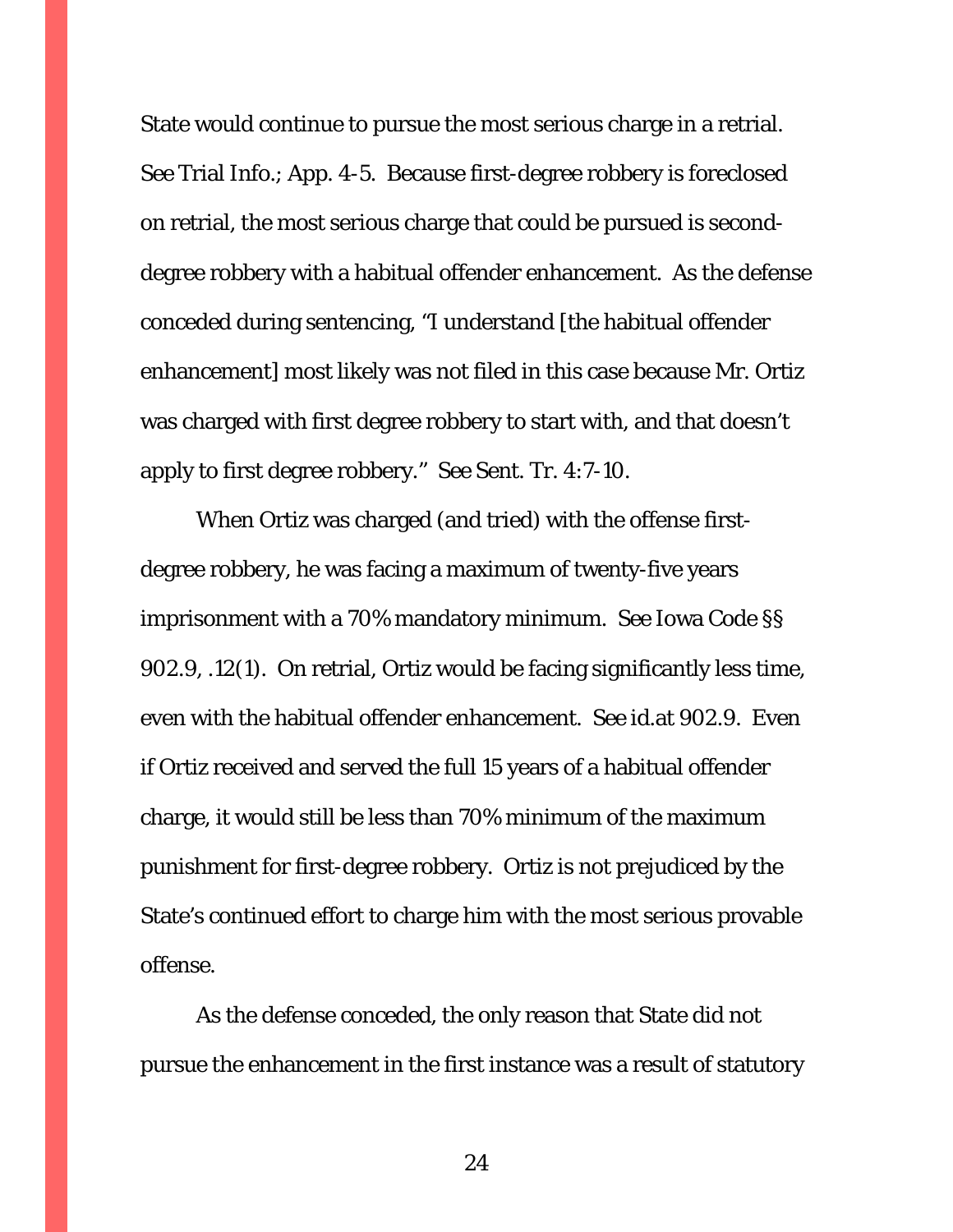State would continue to pursue the most serious charge in a retrial. *See* Trial Info.; App. 4-5. Because first-degree robbery is foreclosed on retrial, the most serious charge that could be pursued is seconddegree robbery with a habitual offender enhancement. As the defense conceded during sentencing, "I understand [the habitual offender enhancement] most likely was not filed in this case because Mr. Ortiz was charged with first degree robbery to start with, and that doesn't apply to first degree robbery." *See* Sent. Tr. 4:7-10.

When Ortiz was charged (and tried) with the offense firstdegree robbery, he was facing a maximum of twenty-five years imprisonment with a 70% mandatory minimum. *See* Iowa Code §§ 902.9, .12(1). On retrial, Ortiz would be facing significantly less time, even with the habitual offender enhancement. *See id.*at 902.9. Even if Ortiz received and served the full 15 years of a habitual offender charge, it would still be less than 70% minimum of the maximum punishment for first-degree robbery. Ortiz is not prejudiced by the State's continued effort to charge him with the most serious provable offense.

As the defense conceded, the only reason that State did not pursue the enhancement in the first instance was a result of statutory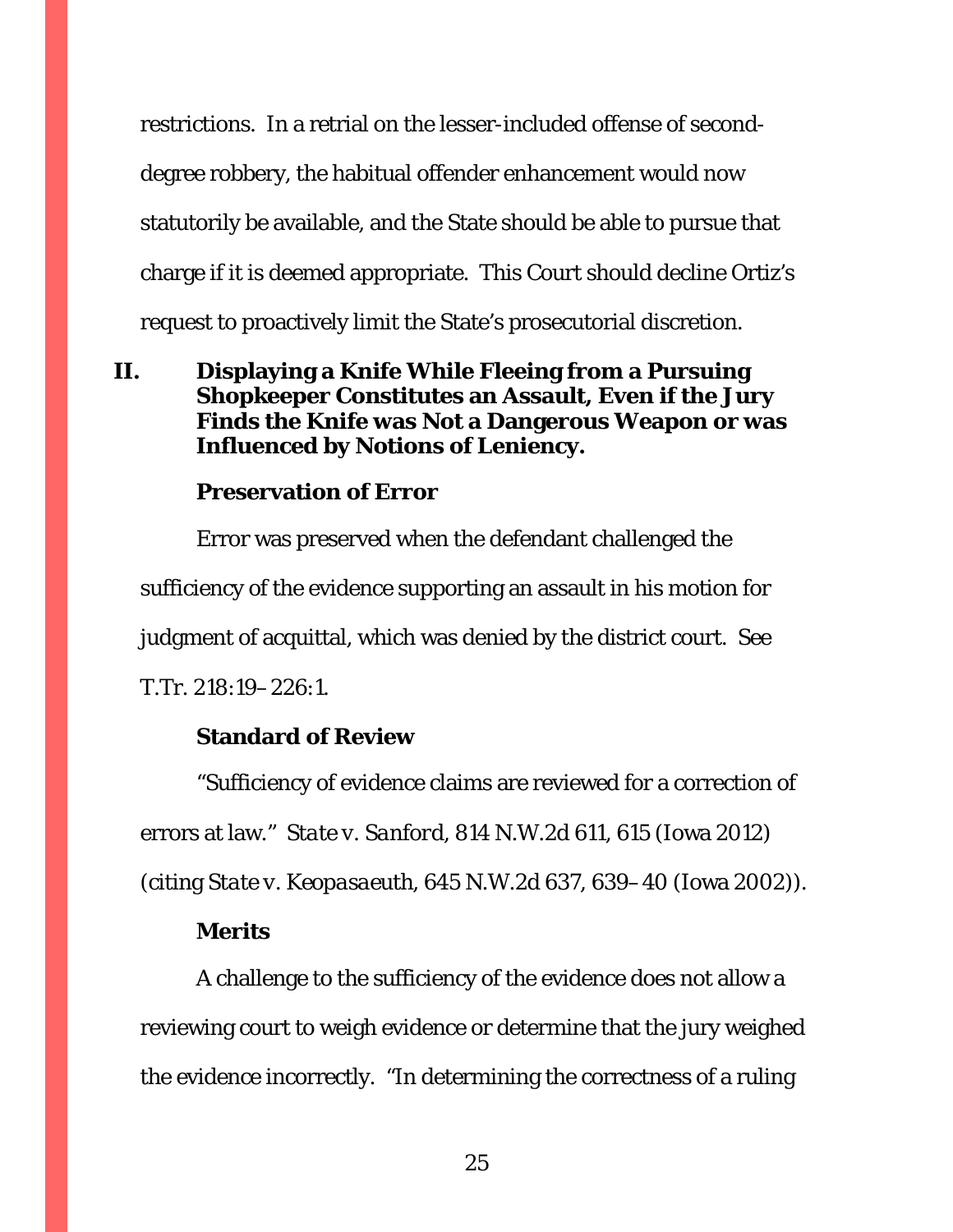restrictions. In a retrial on the lesser-included offense of seconddegree robbery, the habitual offender enhancement would now statutorily be available, and the State should be able to pursue that charge if it is deemed appropriate. This Court should decline Ortiz's request to proactively limit the State's prosecutorial discretion.

<span id="page-24-0"></span>**II. Displaying a Knife While Fleeing from a Pursuing Shopkeeper Constitutes an Assault, Even if the Jury Finds the Knife was Not a Dangerous Weapon or was Influenced by Notions of Leniency.**

### **Preservation of Error**

Error was preserved when the defendant challenged the sufficiency of the evidence supporting an assault in his motion for judgment of acquittal, which was denied by the district court. *See* T.Tr. 218:19–226:1.

### **Standard of Review**

"Sufficiency of evidence claims are reviewed for a correction of errors at law." *State v. Sanford*, 814 N.W.2d 611, 615 (Iowa 2012) (citing *State v. Keopasaeuth*, 645 N.W.2d 637, 639–40 (Iowa 2002)).

#### **Merits**

A challenge to the sufficiency of the evidence does not allow a reviewing court to weigh evidence or determine that the jury weighed the evidence incorrectly. "In determining the correctness of a ruling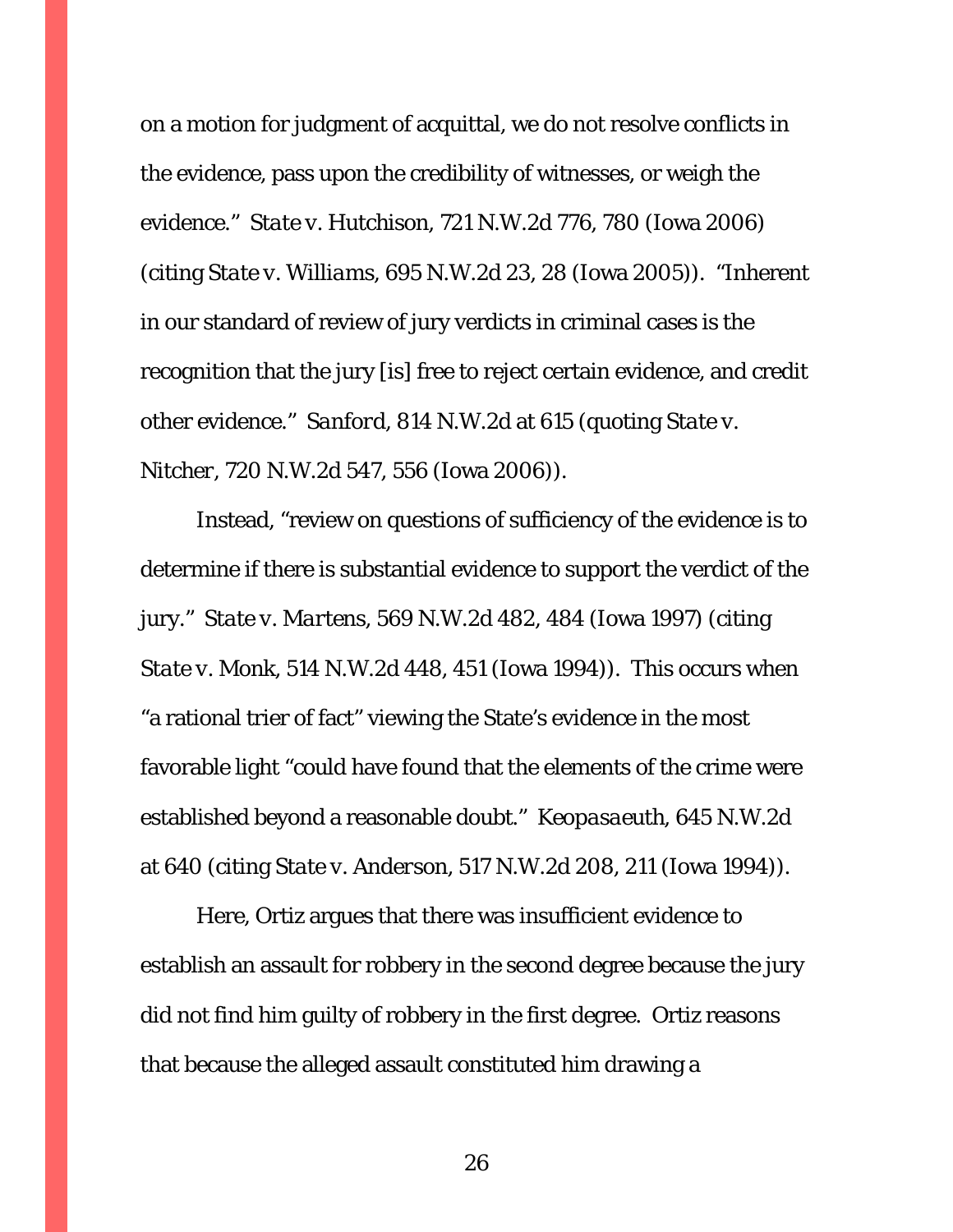on a motion for judgment of acquittal, we do not resolve conflicts in the evidence, pass upon the credibility of witnesses, or weigh the evidence." *State v. Hutchison*, 721 N.W.2d 776, 780 (Iowa 2006) (citing *State v. Williams*, 695 N.W.2d 23, 28 (Iowa 2005)). "Inherent in our standard of review of jury verdicts in criminal cases is the recognition that the jury [is] free to reject certain evidence, and credit other evidence." *Sanford*, 814 N.W.2d at 615 (quoting *State v. Nitcher*, 720 N.W.2d 547, 556 (Iowa 2006)).

Instead, "review on questions of sufficiency of the evidence is to determine if there is substantial evidence to support the verdict of the jury." *State v. Martens*, 569 N.W.2d 482, 484 (Iowa 1997) (citing *State v. Monk*, 514 N.W.2d 448, 451 (Iowa 1994)). This occurs when "a rational trier of fact" viewing the State's evidence in the most favorable light "could have found that the elements of the crime were established beyond a reasonable doubt." *Keopasaeuth*, 645 N.W.2d at 640 (citing *State v. Anderson*, 517 N.W.2d 208, 211 (Iowa 1994)).

Here, Ortiz argues that there was insufficient evidence to establish an assault for robbery in the second degree because the jury did not find him guilty of robbery in the first degree. Ortiz reasons that because the alleged assault constituted him drawing a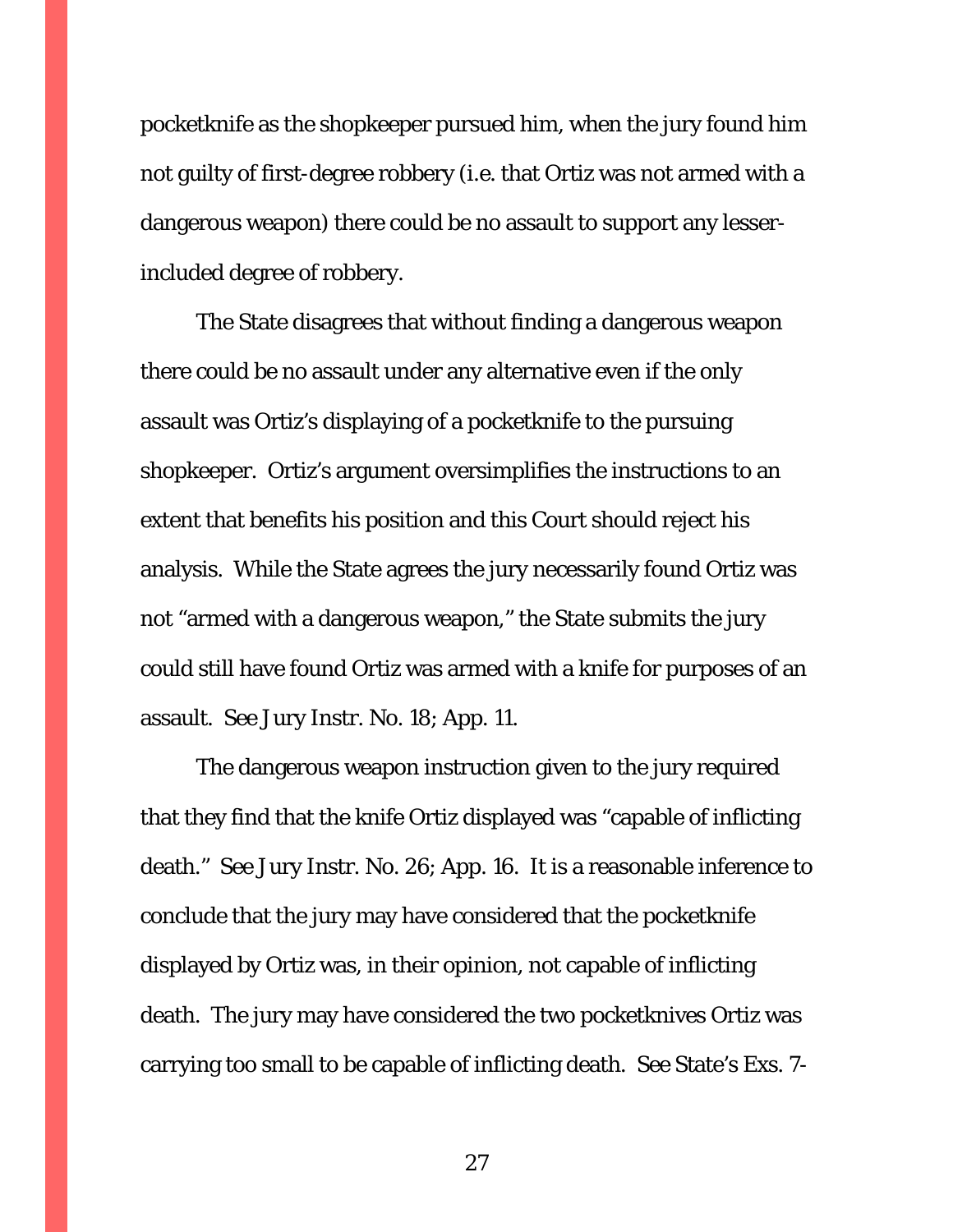pocketknife as the shopkeeper pursued him, when the jury found him not guilty of first-degree robbery (i.e. that Ortiz was not armed with a dangerous weapon) there could be no assault to support any lesserincluded degree of robbery.

The State disagrees that without finding a dangerous weapon there could be no assault under any alternative even if the only assault was Ortiz's displaying of a pocketknife to the pursuing shopkeeper. Ortiz's argument oversimplifies the instructions to an extent that benefits his position and this Court should reject his analysis. While the State agrees the jury necessarily found Ortiz was not "armed with a dangerous weapon," the State submits the jury could still have found Ortiz was armed with a knife for purposes of an assault. *See* Jury Instr. No. 18; App. 11.

The dangerous weapon instruction given to the jury required that they find that the knife Ortiz displayed was "capable of inflicting death." *See* Jury Instr. No. 26; App. 16. It is a reasonable inference to conclude that the jury may have considered that the pocketknife displayed by Ortiz was, in their opinion, not capable of inflicting death. The jury may have considered the two pocketknives Ortiz was carrying too small to be capable of inflicting death. *See* State's Exs. 7-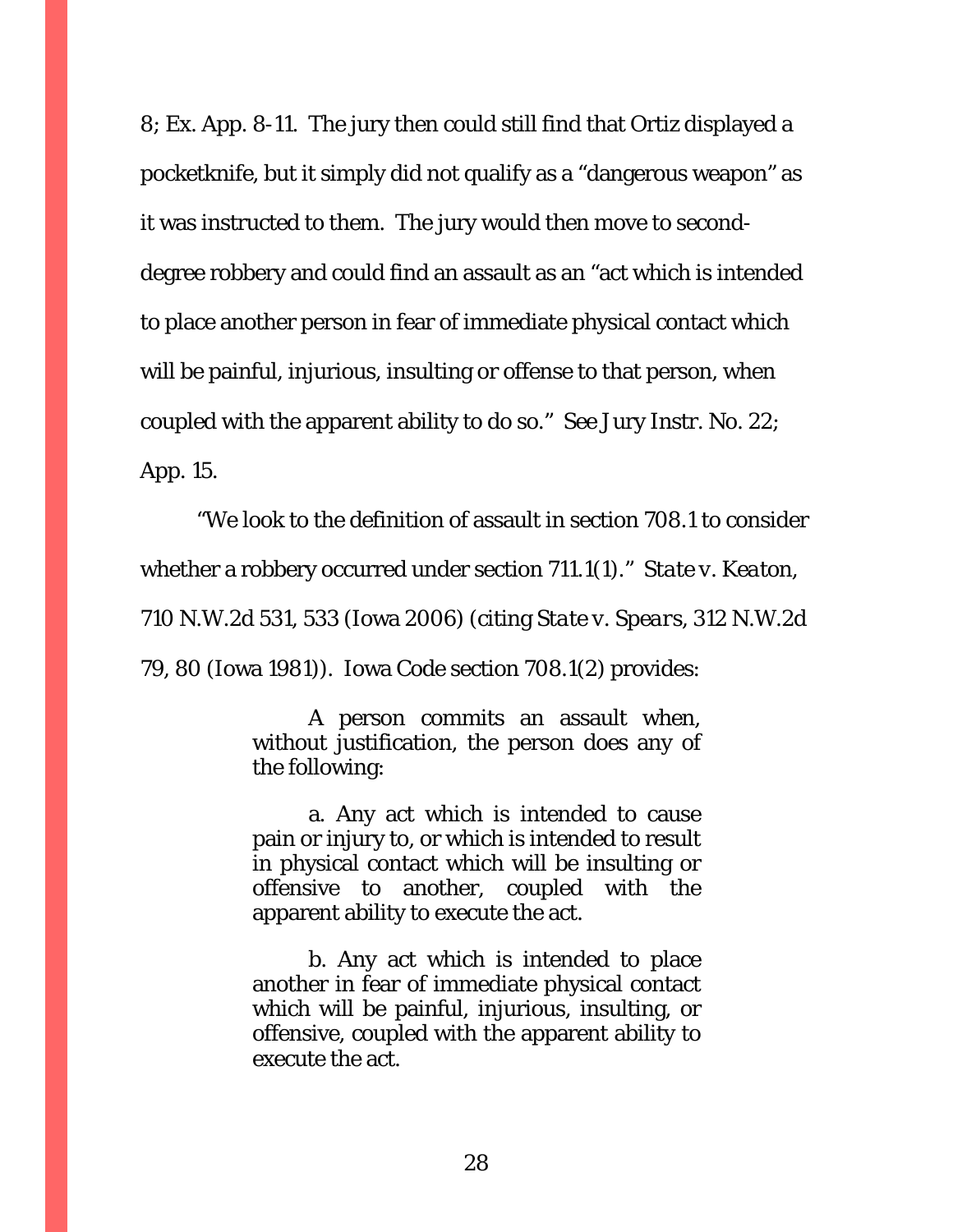8; Ex. App. 8-11. The jury then could still find that Ortiz displayed a pocketknife, but it simply did not qualify as a "dangerous weapon" as it was instructed to them. The jury would then move to seconddegree robbery and could find an assault as an "act which is intended to place another person in fear of immediate physical contact which will be painful, injurious, insulting or offense to that person, when coupled with the apparent ability to do so." *See* Jury Instr. No. 22; App. 15.

"We look to the definition of assault in section 708.1 to consider whether a robbery occurred under section 711.1(1)." *State v. Keaton*, 710 N.W.2d 531, 533 (Iowa 2006) (citing *State v. Spears*, 312 N.W.2d 79, 80 (Iowa 1981)). Iowa Code section 708.1(2) provides:

> A person commits an assault when, without justification, the person does any of the following:

> a. Any act which is intended to cause pain or injury to, or which is intended to result in physical contact which will be insulting or offensive to another, coupled with the apparent ability to execute the act.

> b. Any act which is intended to place another in fear of immediate physical contact which will be painful, injurious, insulting, or offensive, coupled with the apparent ability to execute the act.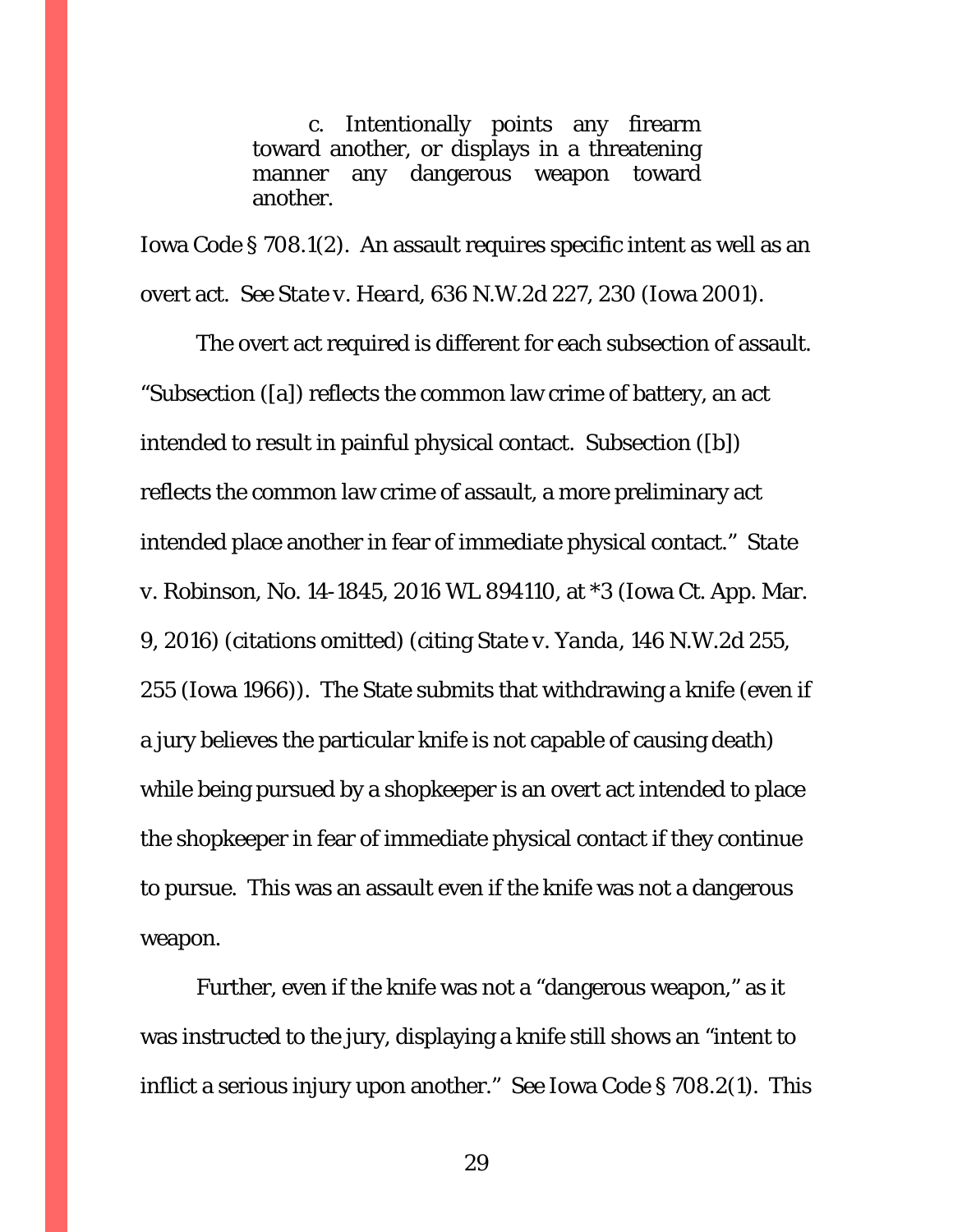c. Intentionally points any firearm toward another, or displays in a threatening manner any dangerous weapon toward another.

Iowa Code § 708.1(2). An assault requires specific intent as well as an overt act. *See State v. Heard*, 636 N.W.2d 227, 230 (Iowa 2001).

The overt act required is different for each subsection of assault. "Subsection ([a]) reflects the common law crime of battery, an act intended to result in painful physical contact. Subsection ([b]) reflects the common law crime of assault, a more preliminary act intended place another in fear of immediate physical contact." *State v. Robinson*, No. 14-1845, 2016 WL 894110, at \*3 (Iowa Ct. App. Mar. 9, 2016) (citations omitted) (citing *State v. Yanda*, 146 N.W.2d 255, 255 (Iowa 1966)). The State submits that withdrawing a knife (even if a jury believes the particular knife is not capable of causing death) while being pursued by a shopkeeper is an overt act intended to place the shopkeeper in fear of immediate physical contact if they continue to pursue. This was an assault even if the knife was not a dangerous weapon.

Further, even if the knife was not a "dangerous weapon," as it was instructed to the jury, displaying a knife still shows an "intent to inflict a serious injury upon another." *See* Iowa Code § 708.2(1). This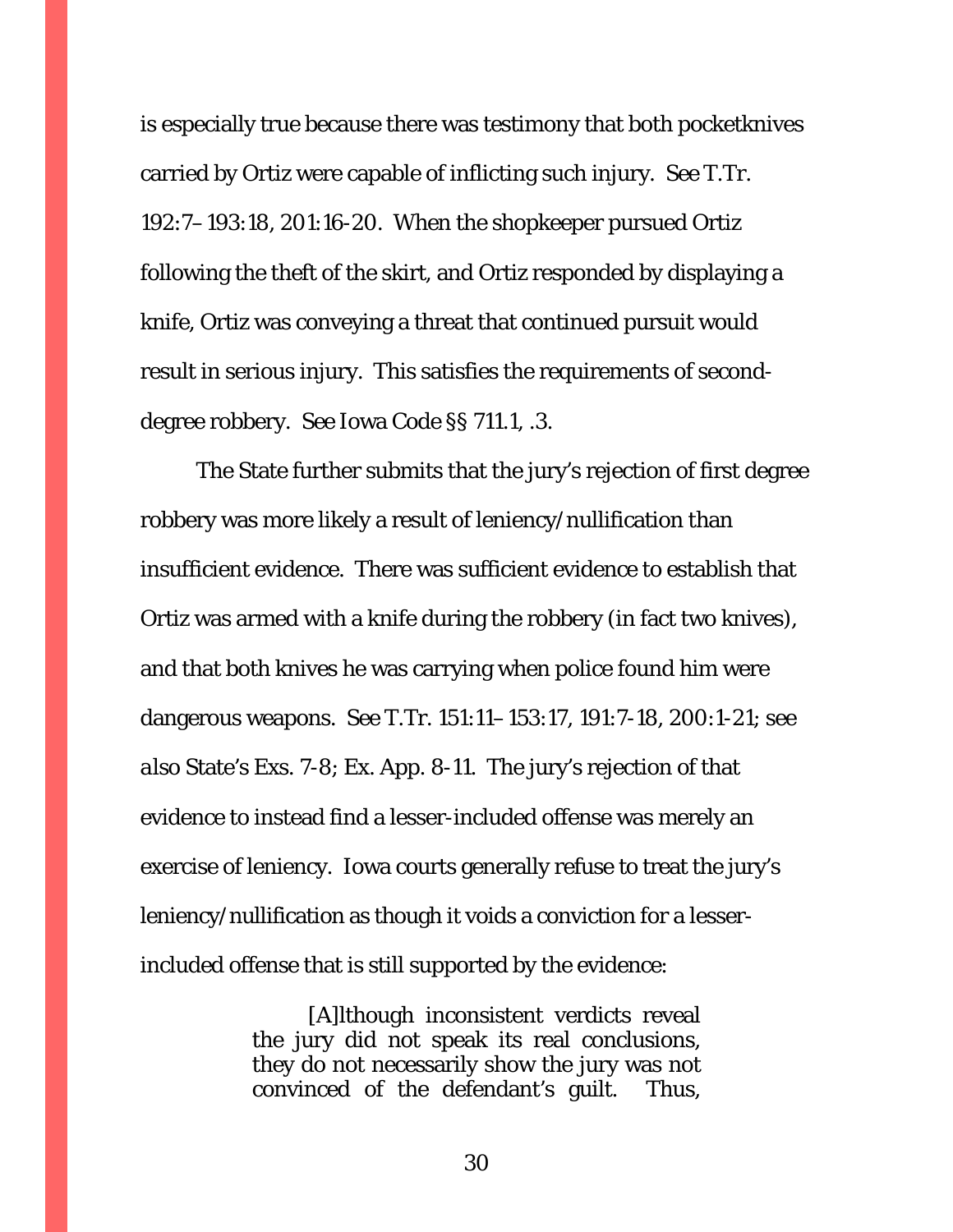is especially true because there was testimony that both pocketknives carried by Ortiz were capable of inflicting such injury. *See* T.Tr. 192:7–193:18, 201:16-20. When the shopkeeper pursued Ortiz following the theft of the skirt, and Ortiz responded by displaying a knife, Ortiz was conveying a threat that continued pursuit would result in serious injury. This satisfies the requirements of seconddegree robbery. *See* Iowa Code §§ 711.1, .3.

The State further submits that the jury's rejection of first degree robbery was more likely a result of leniency/nullification than insufficient evidence. There was sufficient evidence to establish that Ortiz was armed with a knife during the robbery (in fact two knives), and that both knives he was carrying when police found him were dangerous weapons. *See* T.Tr. 151:11–153:17, 191:7-18, 200:1-21; *see also* State's Exs. 7-8; Ex. App. 8-11. The jury's rejection of that evidence to instead find a lesser-included offense was merely an exercise of leniency. Iowa courts generally refuse to treat the jury's leniency/nullification as though it voids a conviction for a lesserincluded offense that is still supported by the evidence:

> [A]lthough inconsistent verdicts reveal the jury did not speak its real conclusions, they do not necessarily show the jury was not convinced of the defendant's guilt. Thus,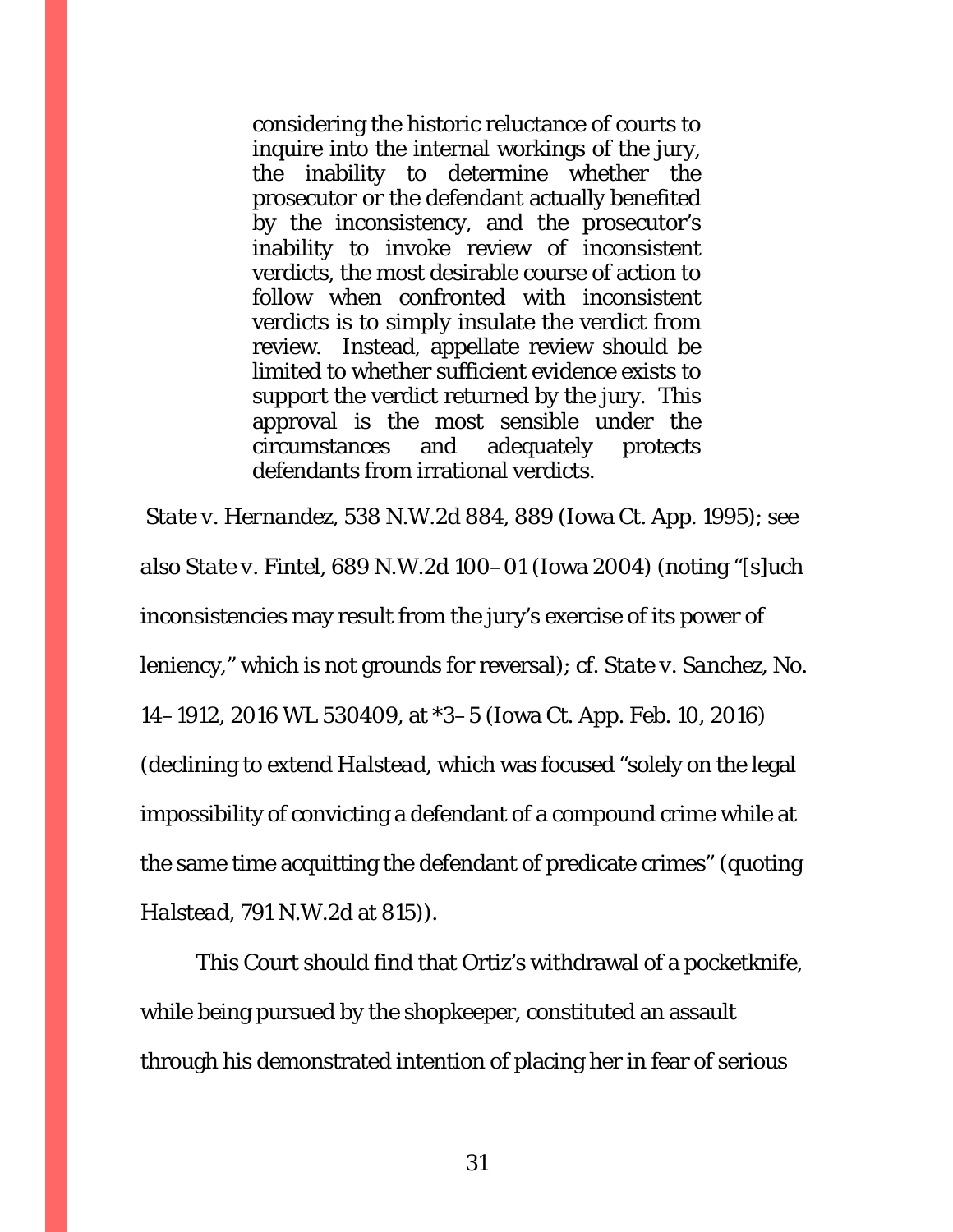considering the historic reluctance of courts to inquire into the internal workings of the jury, the inability to determine whether the prosecutor or the defendant actually benefited by the inconsistency, and the prosecutor's inability to invoke review of inconsistent verdicts, the most desirable course of action to follow when confronted with inconsistent verdicts is to simply insulate the verdict from review. Instead, appellate review should be limited to whether sufficient evidence exists to support the verdict returned by the jury. This approval is the most sensible under the circumstances and adequately protects defendants from irrational verdicts.

*State v. Hernandez*, 538 N.W.2d 884, 889 (Iowa Ct. App. 1995); *see also State v. Fintel*, 689 N.W.2d 100–01 (Iowa 2004) (noting "[s]uch inconsistencies may result from the jury's exercise of its power of leniency," which is not grounds for reversal); *cf. State v. Sanchez*, No. 14–1912, 2016 WL 530409, at \*3–5 (Iowa Ct. App. Feb. 10, 2016) (declining to extend *Halstead*, which was focused "solely on the legal impossibility of convicting a defendant of a compound crime while at the same time acquitting the defendant of predicate crimes" (quoting *Halstead*, 791 N.W.2d at 815)).

This Court should find that Ortiz's withdrawal of a pocketknife, while being pursued by the shopkeeper, constituted an assault through his demonstrated intention of placing her in fear of serious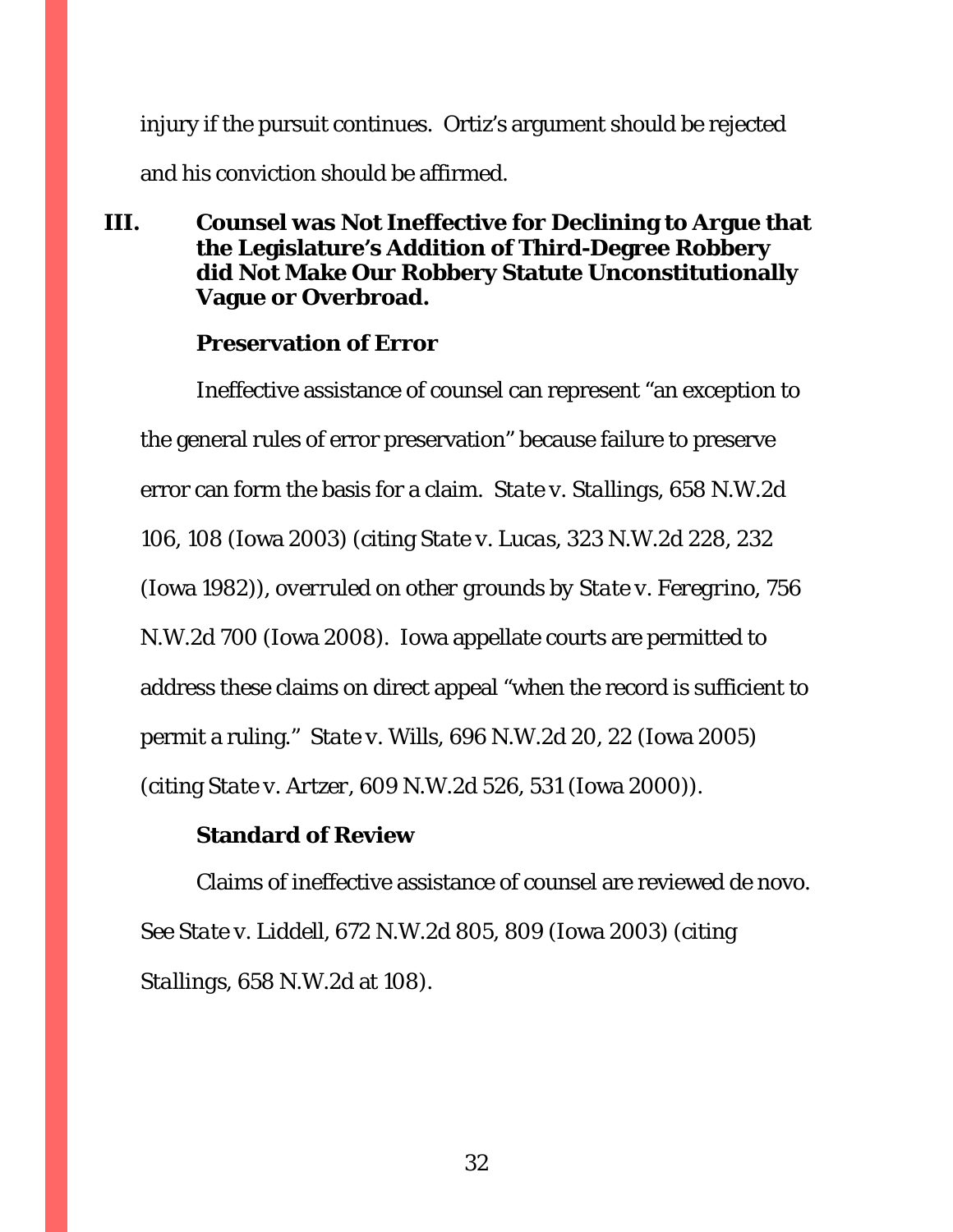injury if the pursuit continues. Ortiz's argument should be rejected and his conviction should be affirmed.

<span id="page-31-0"></span>**III. Counsel was Not Ineffective for Declining to Argue that the Legislature's Addition of Third-Degree Robbery did Not Make Our Robbery Statute Unconstitutionally Vague or Overbroad.**

## **Preservation of Error**

Ineffective assistance of counsel can represent "an exception to the general rules of error preservation" because failure to preserve error can form the basis for a claim. *State v. Stallings*, 658 N.W.2d 106, 108 (Iowa 2003) (citing *State v. Lucas*, 323 N.W.2d 228, 232 (Iowa 1982)), *overruled on other grounds by State v. Feregrino*, 756 N.W.2d 700 (Iowa 2008). Iowa appellate courts are permitted to address these claims on direct appeal "when the record is sufficient to permit a ruling." *State v. Wills*, 696 N.W.2d 20, 22 (Iowa 2005) (citing *State v. Artzer*, 609 N.W.2d 526, 531 (Iowa 2000)).

## **Standard of Review**

Claims of ineffective assistance of counsel are reviewed de novo. *See State v. Liddell*, 672 N.W.2d 805, 809 (Iowa 2003) (citing *Stallings*, 658 N.W.2d at 108).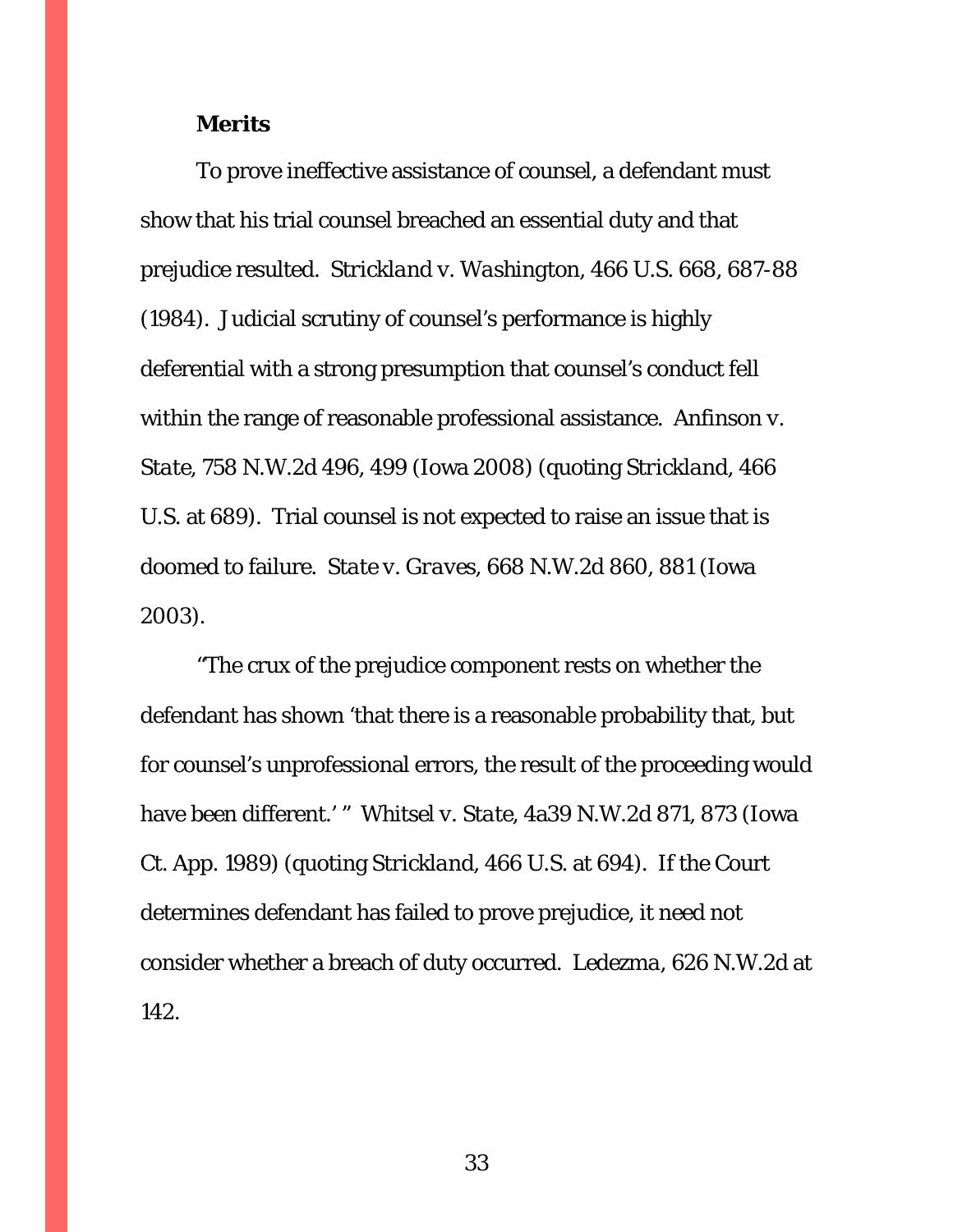#### **Merits**

To prove ineffective assistance of counsel, a defendant must show that his trial counsel breached an essential duty and that prejudice resulted. *Strickland v. Washington*, 466 U.S. 668, 687-88 (1984). Judicial scrutiny of counsel's performance is highly deferential with a strong presumption that counsel's conduct fell within the range of reasonable professional assistance. *Anfinson v. State,* 758 N.W.2d 496, 499 (Iowa 2008) (quoting *Strickland*, 466 U.S. at 689). Trial counsel is not expected to raise an issue that is doomed to failure. *State v. Graves*, 668 N.W.2d 860, 881 (Iowa 2003).

"The crux of the prejudice component rests on whether the defendant has shown 'that there is a reasonable probability that, but for counsel's unprofessional errors, the result of the proceeding would have been different.' " *Whitsel v. State*, 4a39 N.W.2d 871, 873 (Iowa Ct. App. 1989) (quoting *Strickland*, 466 U.S. at 694). If the Court determines defendant has failed to prove prejudice, it need not consider whether a breach of duty occurred. *Ledezma*, 626 N.W.2d at 142.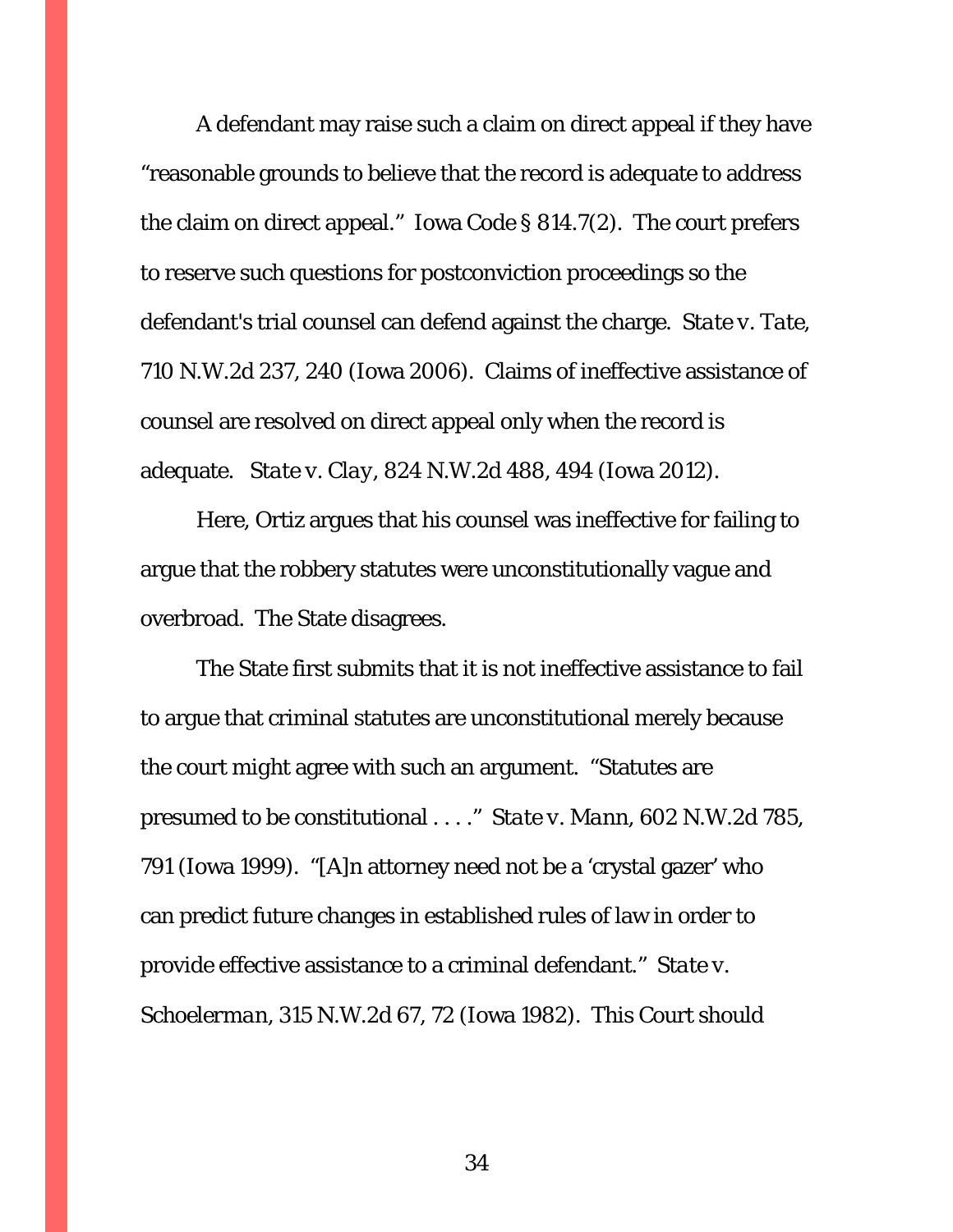A defendant may raise such a claim on direct appeal if they have "reasonable grounds to believe that the record is adequate to address the claim on direct appeal." Iowa Code § 814.7(2). The court prefers to reserve such questions for postconviction proceedings so the defendant's trial counsel can defend against the charge. *State v. Tate*, 710 N.W.2d 237, 240 (Iowa 2006). Claims of ineffective assistance of counsel are resolved on direct appeal only when the record is adequate. *State v. Clay*, 824 N.W.2d 488, 494 (Iowa 2012).

Here, Ortiz argues that his counsel was ineffective for failing to argue that the robbery statutes were unconstitutionally vague and overbroad. The State disagrees.

The State first submits that it is not ineffective assistance to fail to argue that criminal statutes are unconstitutional merely because the court *might* agree with such an argument. "Statutes are presumed to be constitutional . . . ." *State v. Mann*, 602 N.W.2d 785, 791 (Iowa 1999). "[A]n attorney need not be a 'crystal gazer' who can predict future changes in established rules of law in order to provide effective assistance to a criminal defendant." *State v. Schoelerman*, 315 N.W.2d 67, 72 (Iowa 1982). This Court should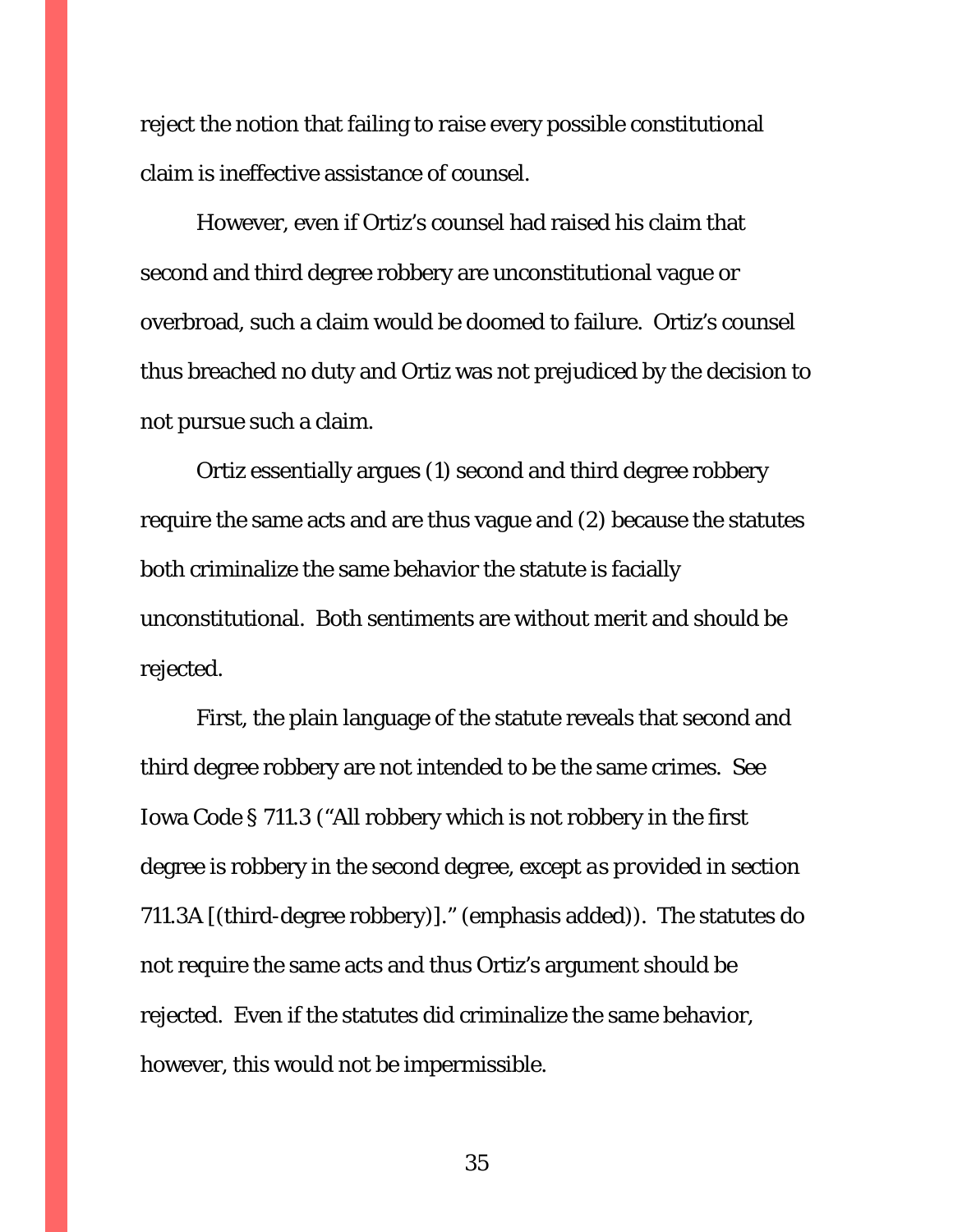reject the notion that failing to raise every possible constitutional claim is ineffective assistance of counsel.

However, even if Ortiz's counsel had raised his claim that second and third degree robbery are unconstitutional vague or overbroad, such a claim would be doomed to failure. Ortiz's counsel thus breached no duty and Ortiz was not prejudiced by the decision to not pursue such a claim.

Ortiz essentially argues (1) second and third degree robbery require the same acts and are thus vague and (2) because the statutes both criminalize the same behavior the statute is facially unconstitutional. Both sentiments are without merit and should be rejected.

First, the plain language of the statute reveals that second and third degree robbery are not intended to be the same crimes. *See* Iowa Code § 711.3 ("All robbery which is not robbery in the first degree is robbery in the second degree, *except as provided in section 711.3A* [(third-degree robbery)]." (emphasis added)). The statutes do *not* require the same acts and thus Ortiz's argument should be rejected. Even if the statutes did criminalize the same behavior, however, this would not be impermissible.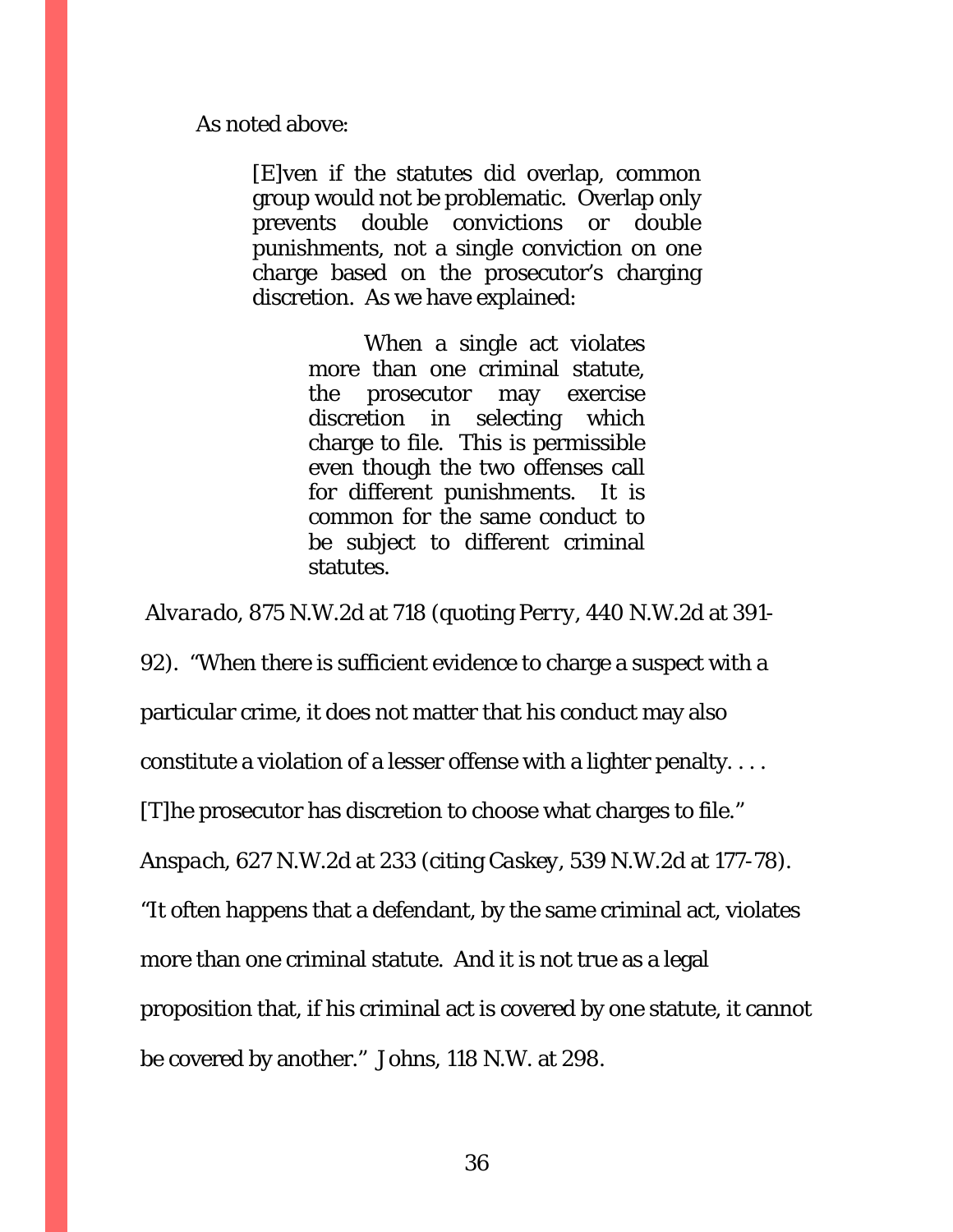As noted above:

[E]ven if the statutes did overlap, common group would not be problematic. Overlap only prevents double convictions or double punishments, not a single conviction on one charge based on the prosecutor's charging discretion. As we have explained:

> When a single act violates more than one criminal statute, the prosecutor may exercise discretion in selecting which charge to file. This is permissible even though the two offenses call for different punishments. It is common for the same conduct to be subject to different criminal statutes.

*Alvarado*, 875 N.W.2d at 718 (quoting *Perry*, 440 N.W.2d at 391-

92). "When there is sufficient evidence to charge a suspect with a

particular crime, it does not matter that his conduct may also

constitute a violation of a lesser offense with a lighter penalty. . . .

[T]he prosecutor has discretion to choose what charges to file."

*Anspach*, 627 N.W.2d at 233 (citing *Caskey*, 539 N.W.2d at 177-78).

"It often happens that a defendant, by the same criminal act, violates

more than one criminal statute. And it is not true as a legal

proposition that, if his criminal act is covered by one statute, it cannot

be covered by another." *Johns*, 118 N.W. at 298.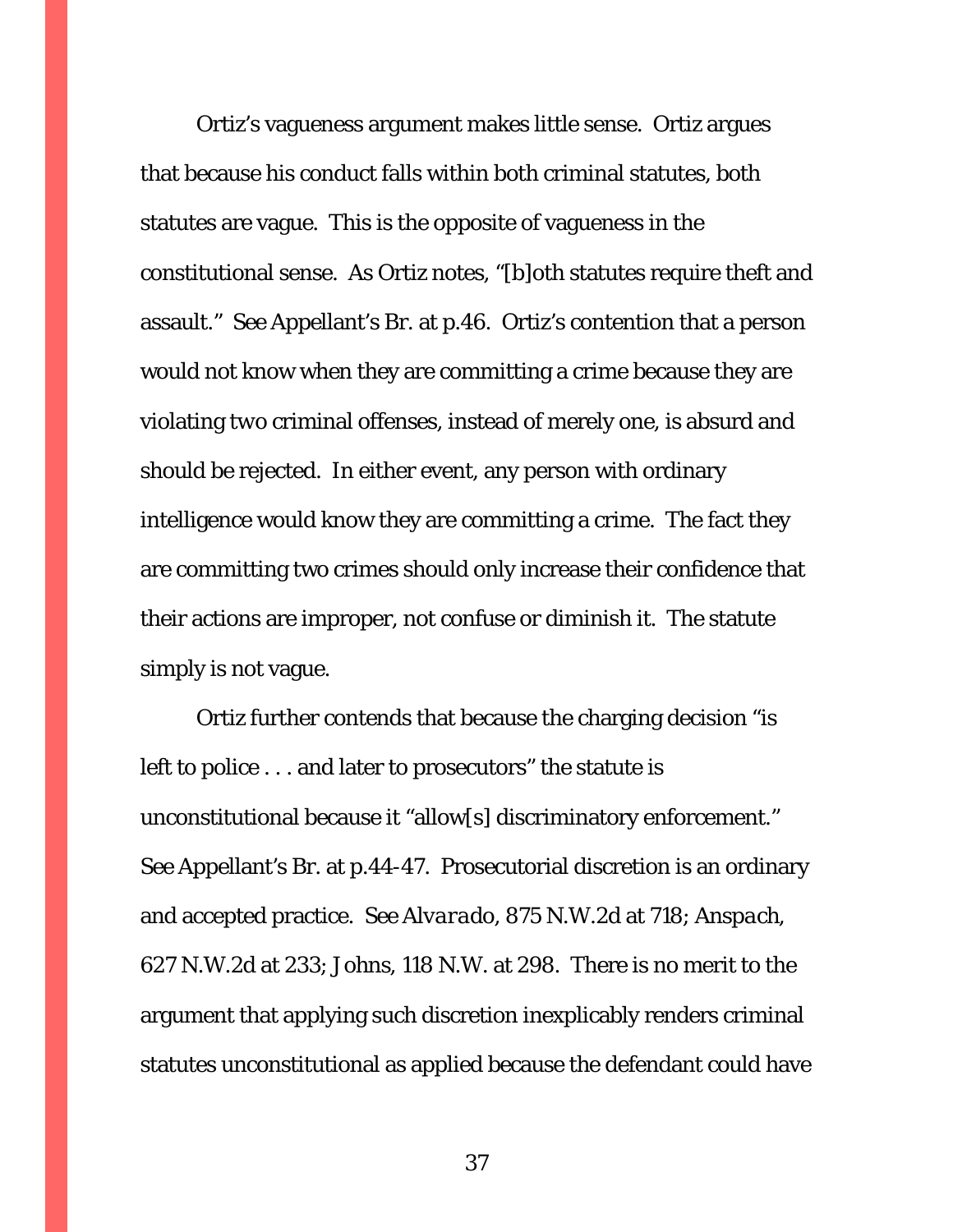Ortiz's vagueness argument makes little sense. Ortiz argues that because his conduct falls within both criminal statutes, both statutes are vague. This is the opposite of vagueness in the constitutional sense. As Ortiz notes, "[b]oth statutes require theft and assault." *See* Appellant's Br. at p.46. Ortiz's contention that a person would not know when they are committing a crime because they are violating *two* criminal offenses, instead of merely one, is absurd and should be rejected. In either event, any person with ordinary intelligence would know they are committing a crime. The fact they are committing two crimes should only increase their confidence that their actions are improper, not confuse or diminish it. The statute simply is not vague.

Ortiz further contends that because the charging decision "is left to police . . . and later to prosecutors" the statute is unconstitutional because it "allow[s] discriminatory enforcement." *See* Appellant's Br. at p.44-47. Prosecutorial discretion is an ordinary and accepted practice. *See Alvarado*, 875 N.W.2d at 718; *Anspach*, 627 N.W.2d at 233; *Johns*, 118 N.W. at 298. There is no merit to the argument that applying such discretion inexplicably renders criminal statutes unconstitutional as applied because the defendant could have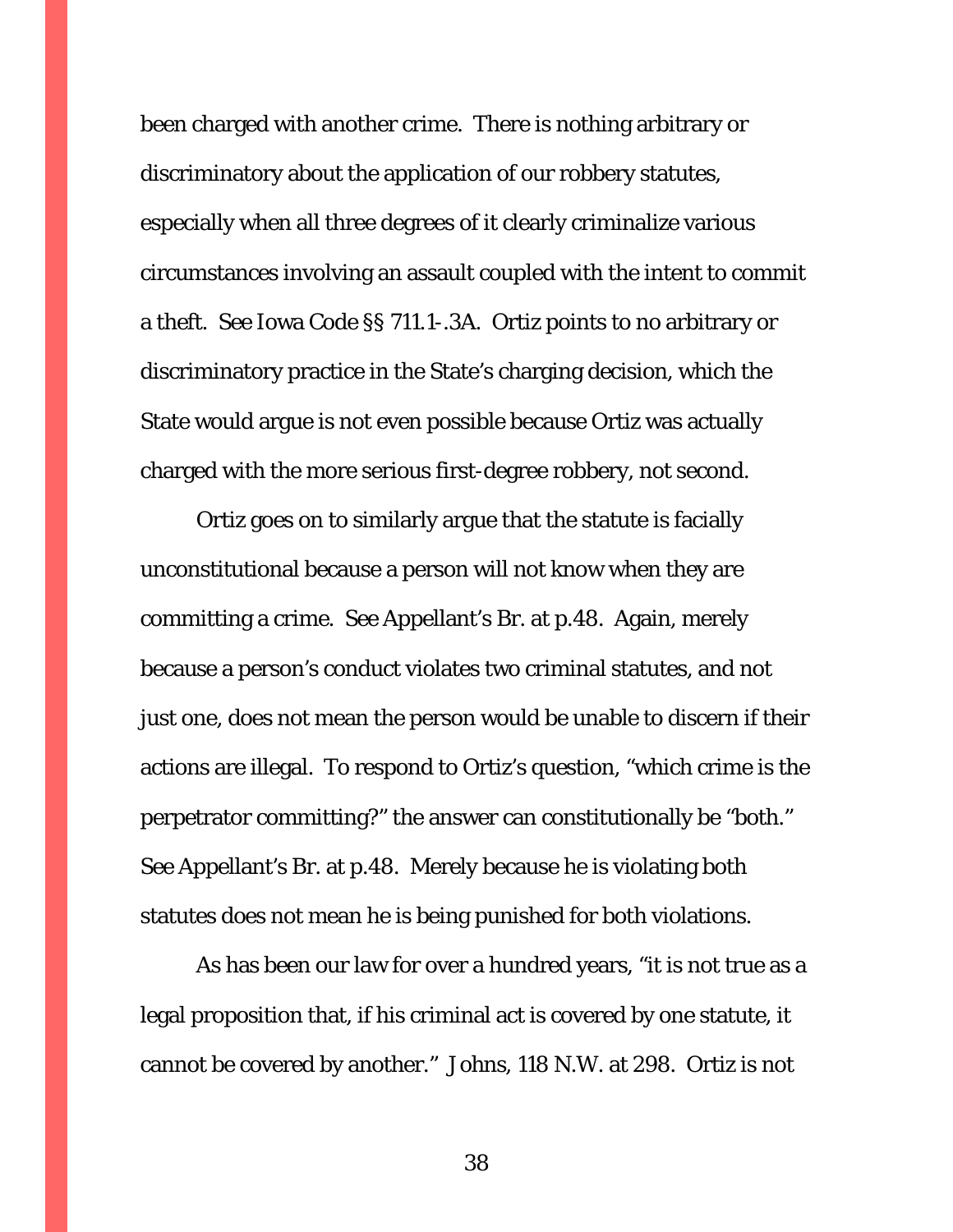been charged with another crime. There is nothing arbitrary or discriminatory about the application of our robbery statutes, especially when all three degrees of it clearly criminalize various circumstances involving an assault coupled with the intent to commit a theft. *See* Iowa Code §§ 711.1-.3A. Ortiz points to no arbitrary or discriminatory practice in the State's charging decision, which the State would argue is not even possible because Ortiz was actually charged with the more serious first-degree robbery, not second.

Ortiz goes on to similarly argue that the statute is facially unconstitutional because a person will not know when they are committing a crime. *See* Appellant's Br. at p.48. Again, merely because a person's conduct violates two criminal statutes, and not just one, does not mean the person would be unable to discern if their actions are illegal. To respond to Ortiz's question, "which crime is the perpetrator committing?" the answer can constitutionally be "both." *See* Appellant's Br. at p.48. Merely because he is violating both statutes does not mean he is being punished for both violations.

As has been our law for over a hundred years, "it is not true as a legal proposition that, if his criminal act is covered by one statute, it cannot be covered by another." *Johns*, 118 N.W. at 298. Ortiz is not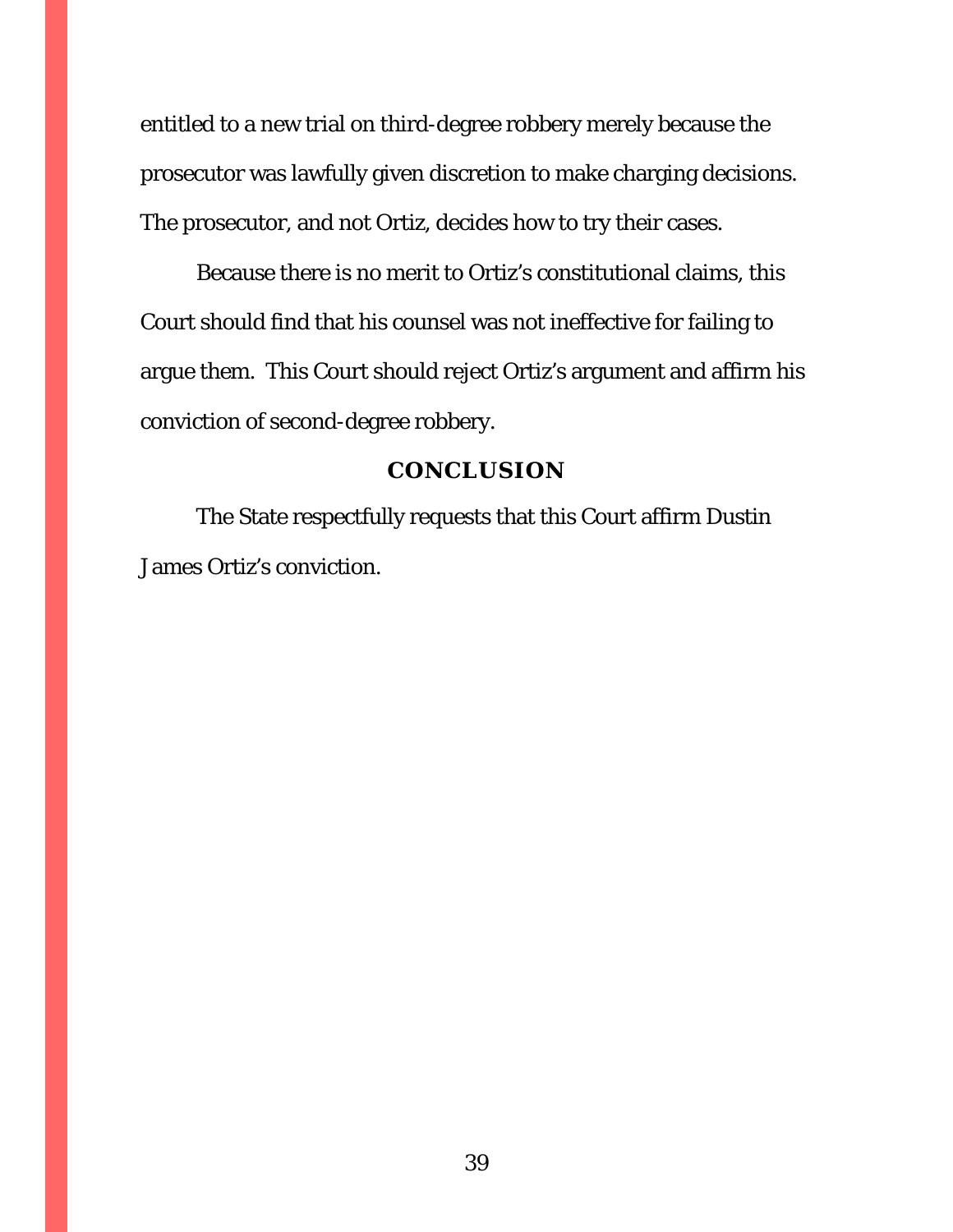entitled to a new trial on third-degree robbery merely because the prosecutor was lawfully given discretion to make charging decisions. The prosecutor, and not Ortiz, decides how to try their cases.

Because there is no merit to Ortiz's constitutional claims, this Court should find that his counsel was not ineffective for failing to argue them. This Court should reject Ortiz's argument and affirm his conviction of second-degree robbery.

#### **CONCLUSION**

<span id="page-38-0"></span>The State respectfully requests that this Court affirm Dustin James Ortiz's conviction.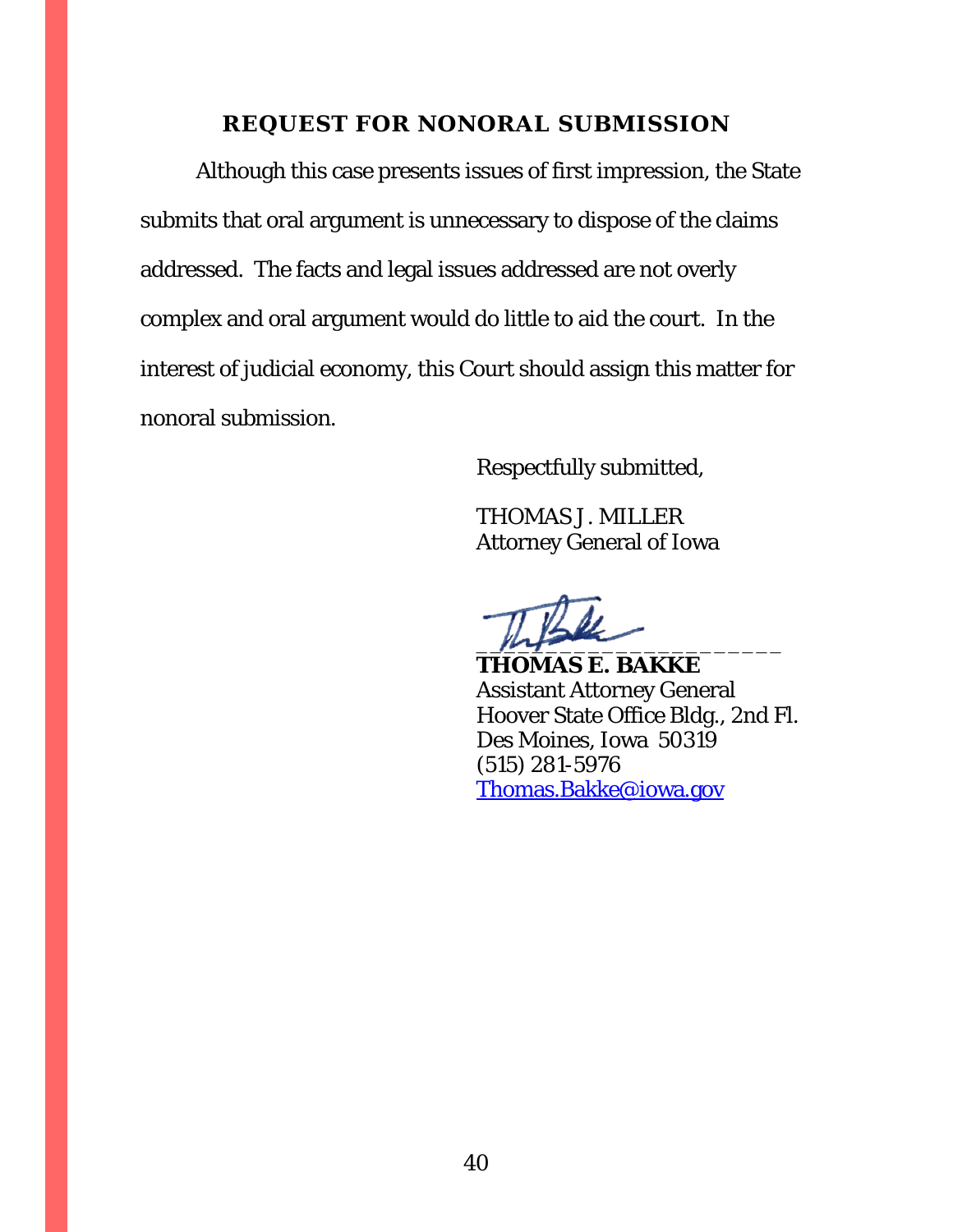### **REQUEST FOR NONORAL SUBMISSION**

<span id="page-39-0"></span>Although this case presents issues of first impression, the State submits that oral argument is unnecessary to dispose of the claims addressed. The facts and legal issues addressed are not overly complex and oral argument would do little to aid the court. In the interest of judicial economy, this Court should assign this matter for nonoral submission.

Respectfully submitted,

THOMAS J. MILLER Attorney General of Iowa

 $m_{\uparrow}$ 

**THOMAS E. BAKKE** Assistant Attorney General Hoover State Office Bldg., 2nd Fl. Des Moines, Iowa 50319 (515) 281-5976 [Thomas.Bakke@iowa.gov](mailto:Thomas.Bakke@iowa.gov)